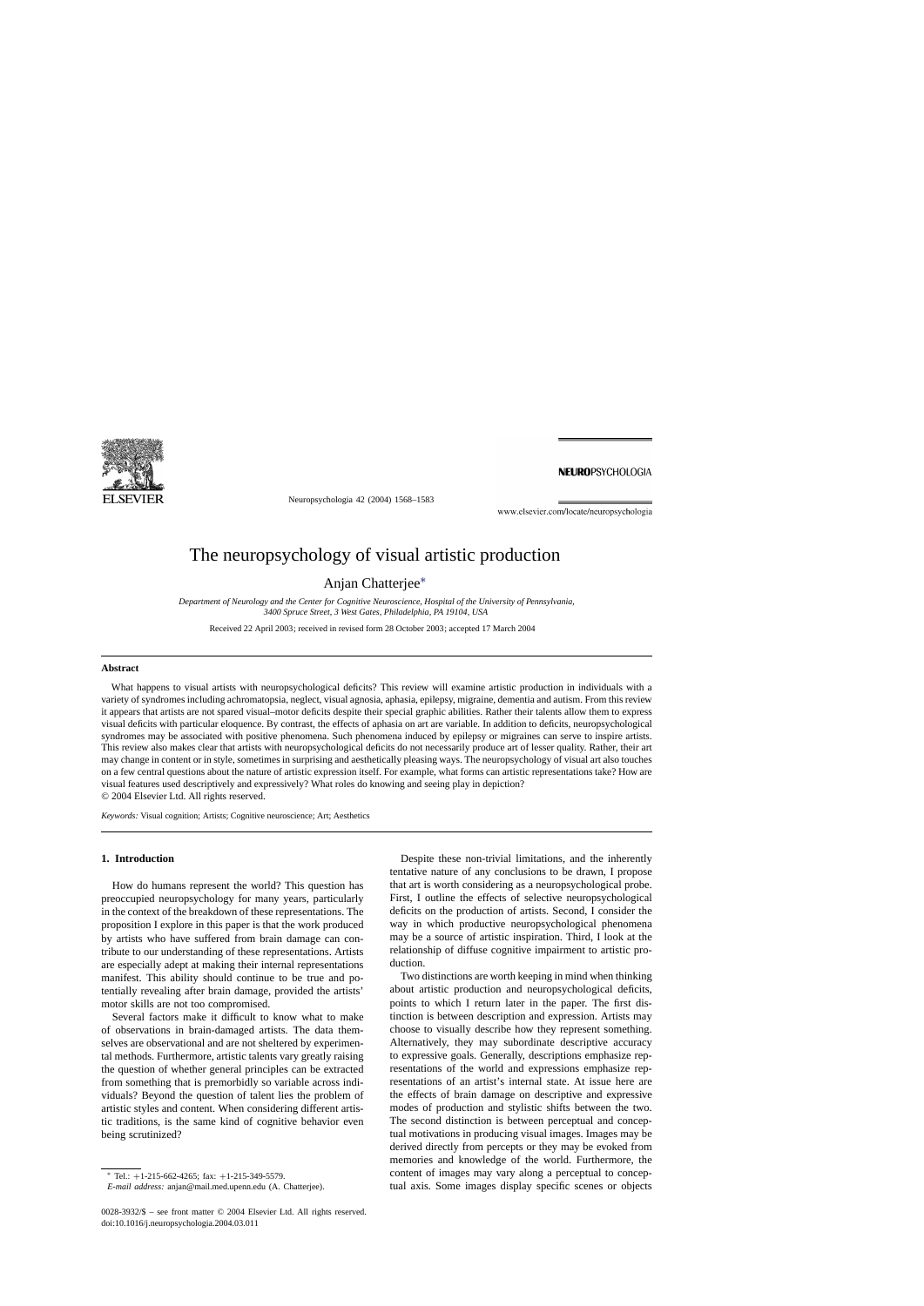

Neuropsychologia 42 (2004) 1568–1583

NEUROPSYCHOLOGIA

www.elsevier.com/locate/neuropsychologia

# The neuropsychology of visual artistic production

Anjan Chatterjee∗

*Department of Neurology and the Center for Cognitive Neuroscience, Hospital of the University of Pennsylvania, 3400 Spruce Street, 3 West Gates, Philadelphia, PA 19104, USA*

Received 22 April 2003; received in revised form 28 October 2003; accepted 17 March 2004

#### **Abstract**

What happens to visual artists with neuropsychological deficits? This review will examine artistic production in individuals with a variety of syndromes including achromatopsia, neglect, visual agnosia, aphasia, epilepsy, migraine, dementia and autism. From this review it appears that artists are not spared visual–motor deficits despite their special graphic abilities. Rather their talents allow them to express visual deficits with particular eloquence. By contrast, the effects of aphasia on art are variable. In addition to deficits, neuropsychological syndromes may be associated with positive phenomena. Such phenomena induced by epilepsy or migraines can serve to inspire artists. This review also makes clear that artists with neuropsychological deficits do not necessarily produce art of lesser quality. Rather, their art may change in content or in style, sometimes in surprising and aesthetically pleasing ways. The neuropsychology of visual art also touches on a few central questions about the nature of artistic expression itself. For example, what forms can artistic representations take? How are visual features used descriptively and expressively? What roles do knowing and seeing play in depiction? © 2004 Elsevier Ltd. All rights reserved.

*Keywords:* Visual cognition; Artists; Cognitive neuroscience; Art; Aesthetics

## **1. Introduction**

How do humans represent the world? This question has preoccupied neuropsychology for many years, particularly in the context of the breakdown of these representations. The proposition I explore in this paper is that the work produced by artists who have suffered from brain damage can contribute to our understanding of these representations. Artists are especially adept at making their internal representations manifest. This ability should continue to be true and potentially revealing after brain damage, provided the artists' motor skills are not too compromised.

Several factors make it difficult to know what to make of observations in brain-damaged artists. The data themselves are observational and are not sheltered by experimental methods. Furthermore, artistic talents vary greatly raising the question of whether general principles can be extracted from something that is premorbidly so variable across individuals? Beyond the question of talent lies the problem of artistic styles and content. When considering different artistic traditions, is the same kind of cognitive behavior even being scrutinized?

0028-3932/\$ – see front matter © 2004 Elsevier Ltd. All rights reserved. doi:10.1016/j.neuropsychologia.2004.03.011

Despite these non-trivial limitations, and the inherently tentative nature of any conclusions to be drawn, I propose that art is worth considering as a neuropsychological probe. First, I outline the effects of selective neuropsychological deficits on the production of artists. Second, I consider the way in which productive neuropsychological phenomena may be a source of artistic inspiration. Third, I look at the relationship of diffuse cognitive impairment to artistic production.

Two distinctions are worth keeping in mind when thinking about artistic production and neuropsychological deficits, points to which I return later in the paper. The first distinction is between description and expression. Artists may choose to visually describe how they represent something. Alternatively, they may subordinate descriptive accuracy to expressive goals. Generally, descriptions emphasize representations of the world and expressions emphasize representations of an artist's internal state. At issue here are the effects of brain damage on descriptive and expressive modes of production and stylistic shifts between the two. The second distinction is between perceptual and conceptual motivations in producing visual images. Images may be derived directly from percepts or they may be evoked from memories and knowledge of the world. Furthermore, the content of images may vary along a perceptual to conceptual axis. Some images display specific scenes or objects

 $*$  Tel.:  $+1$ -215-662-4265; fax:  $+1$ -215-349-5579.

*E-mail address:* anjan@mail.med.upenn.edu (A. Chatterjee).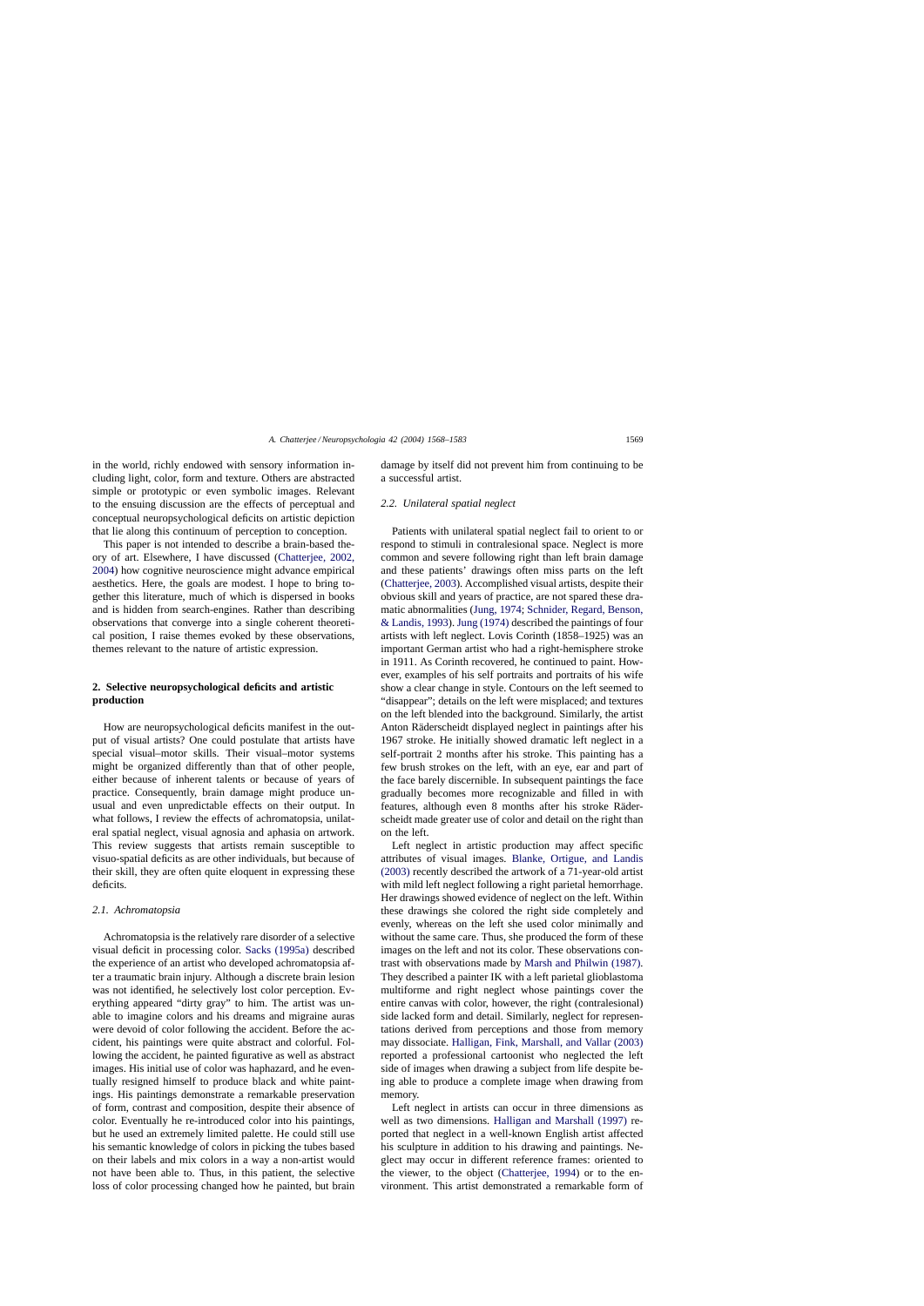in the world, richly endowed with sensory information including light, color, form and texture. Others are abstracted simple or prototypic or even symbolic images. Relevant to the ensuing discussion are the effects of perceptual and conceptual neuropsychological deficits on artistic depiction that lie along this continuum of perception to conception.

This paper is not intended to describe a brain-based theory of art. Elsewhere, I have discussed ([Chatterjee, 2002,](#page-14-0) [2004\)](#page-14-0) how cognitive neuroscience might advance empirical aesthetics. Here, the goals are modest. I hope to bring together this literature, much of which is dispersed in books and is hidden from search-engines. Rather than describing observations that converge into a single coherent theoretical position, I raise themes evoked by these observations, themes relevant to the nature of artistic expression.

# **2. Selective neuropsychological deficits and artistic production**

How are neuropsychological deficits manifest in the output of visual artists? One could postulate that artists have special visual–motor skills. Their visual–motor systems might be organized differently than that of other people, either because of inherent talents or because of years of practice. Consequently, brain damage might produce unusual and even unpredictable effects on their output. In what follows, I review the effects of achromatopsia, unilateral spatial neglect, visual agnosia and aphasia on artwork. This review suggests that artists remain susceptible to visuo-spatial deficits as are other individuals, but because of their skill, they are often quite eloquent in expressing these deficits.

## *2.1. Achromatopsia*

Achromatopsia is the relatively rare disorder of a selective visual deficit in processing color. [Sacks \(1995a\)](#page-14-0) described the experience of an artist who developed achromatopsia after a traumatic brain injury. Although a discrete brain lesion was not identified, he selectively lost color perception. Everything appeared "dirty gray" to him. The artist was unable to imagine colors and his dreams and migraine auras were devoid of color following the accident. Before the accident, his paintings were quite abstract and colorful. Following the accident, he painted figurative as well as abstract images. His initial use of color was haphazard, and he eventually resigned himself to produce black and white paintings. His paintings demonstrate a remarkable preservation of form, contrast and composition, despite their absence of color. Eventually he re-introduced color into his paintings, but he used an extremely limited palette. He could still use his semantic knowledge of colors in picking the tubes based on their labels and mix colors in a way a non-artist would not have been able to. Thus, in this patient, the selective loss of color processing changed how he painted, but brain

damage by itself did not prevent him from continuing to be a successful artist.

#### *2.2. Unilateral spatial neglect*

Patients with unilateral spatial neglect fail to orient to or respond to stimuli in contralesional space. Neglect is more common and severe following right than left brain damage and these patients' drawings often miss parts on the left ([Chatterjee, 2003\).](#page-14-0) Accomplished visual artists, despite their obvious skill and years of practice, are not spared these dramatic abnormalities ([Jung, 1974;](#page-14-0) [Schnider, Regard, Benson,](#page-14-0) [& Landis, 1993\).](#page-14-0) [Jung \(1974\)](#page-14-0) described the paintings of four artists with left neglect. Lovis Corinth (1858–1925) was an important German artist who had a right-hemisphere stroke in 1911. As Corinth recovered, he continued to paint. However, examples of his self portraits and portraits of his wife show a clear change in style. Contours on the left seemed to "disappear"; details on the left were misplaced; and textures on the left blended into the background. Similarly, the artist Anton Räderscheidt displayed neglect in paintings after his 1967 stroke. He initially showed dramatic left neglect in a self-portrait 2 months after his stroke. This painting has a few brush strokes on the left, with an eye, ear and part of the face barely discernible. In subsequent paintings the face gradually becomes more recognizable and filled in with features, although even 8 months after his stroke Räderscheidt made greater use of color and detail on the right than on the left.

Left neglect in artistic production may affect specific attributes of visual images. [Blanke, Ortigue, and Landis](#page-14-0) [\(2003\)](#page-14-0) recently described the artwork of a 71-year-old artist with mild left neglect following a right parietal hemorrhage. Her drawings showed evidence of neglect on the left. Within these drawings she colored the right side completely and evenly, whereas on the left she used color minimally and without the same care. Thus, she produced the form of these images on the left and not its color. These observations contrast with observations made by [Marsh and Philwin \(1987\).](#page-14-0) They described a painter IK with a left parietal glioblastoma multiforme and right neglect whose paintings cover the entire canvas with color, however, the right (contralesional) side lacked form and detail. Similarly, neglect for representations derived from perceptions and those from memory may dissociate. [Halligan, Fink, Marshall, and Vallar \(2003\)](#page-14-0) reported a professional cartoonist who neglected the left side of images when drawing a subject from life despite being able to produce a complete image when drawing from memory.

Left neglect in artists can occur in three dimensions as well as two dimensions. [Halligan and Marshall \(1997\)](#page-14-0) reported that neglect in a well-known English artist affected his sculpture in addition to his drawing and paintings. Neglect may occur in different reference frames: oriented to the viewer, to the object [\(Chatterjee, 1994\)](#page-14-0) or to the environment. This artist demonstrated a remarkable form of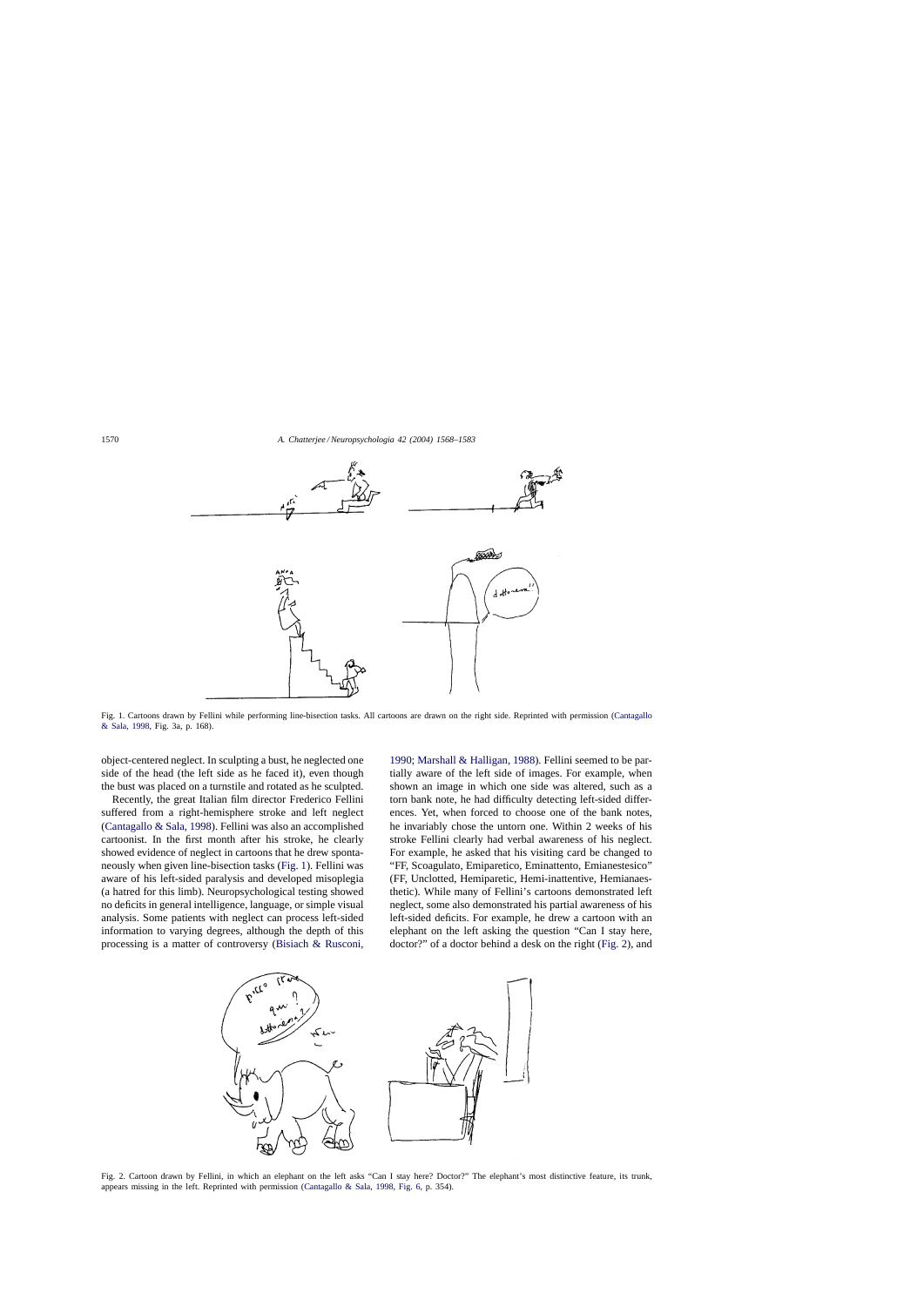

Fig. 1. Cartoons drawn by Fellini while performing line-bisection tasks. All cartoons are drawn on the right side. Reprinted with permission [\(Cantagallo](#page-14-0) [& Sala, 1998,](#page-14-0) Fig. 3a, p. 168).

object-centered neglect. In sculpting a bust, he neglected one side of the head (the left side as he faced it), even though the bust was placed on a turnstile and rotated as he sculpted.

Recently, the great Italian film director Frederico Fellini suffered from a right-hemisphere stroke and left neglect ([Cantagallo & Sala, 1998\).](#page-14-0) Fellini was also an accomplished cartoonist. In the first month after his stroke, he clearly showed evidence of neglect in cartoons that he drew spontaneously when given line-bisection tasks (Fig. 1). Fellini was aware of his left-sided paralysis and developed misoplegia (a hatred for this limb). Neuropsychological testing showed no deficits in general intelligence, language, or simple visual analysis. Some patients with neglect can process left-sided information to varying degrees, although the depth of this processing is a matter of controversy ([Bisiach & Rusconi,](#page-14-0)

[1990;](#page-14-0) [Marshall & Halligan, 1988\).](#page-14-0) Fellini seemed to be partially aware of the left side of images. For example, when shown an image in which one side was altered, such as a torn bank note, he had difficulty detecting left-sided differences. Yet, when forced to choose one of the bank notes, he invariably chose the untorn one. Within 2 weeks of his stroke Fellini clearly had verbal awareness of his neglect. For example, he asked that his visiting card be changed to "FF, Scoagulato, Emiparetico, Eminattento, Emianestesico" (FF, Unclotted, Hemiparetic, Hemi-inattentive, Hemianaesthetic). While many of Fellini's cartoons demonstrated left neglect, some also demonstrated his partial awareness of his left-sided deficits. For example, he drew a cartoon with an elephant on the left asking the question "Can I stay here, doctor?" of a doctor behind a desk on the right (Fig. 2), and



Fig. 2. Cartoon drawn by Fellini, in which an elephant on the left asks "Can I stay here? Doctor?" The elephant's most distinctive feature, its trunk, appears missing in the left. Reprinted with permission [\(Cantagallo & Sala, 1998,](#page-14-0) [Fig. 6,](#page-4-0) p. 354).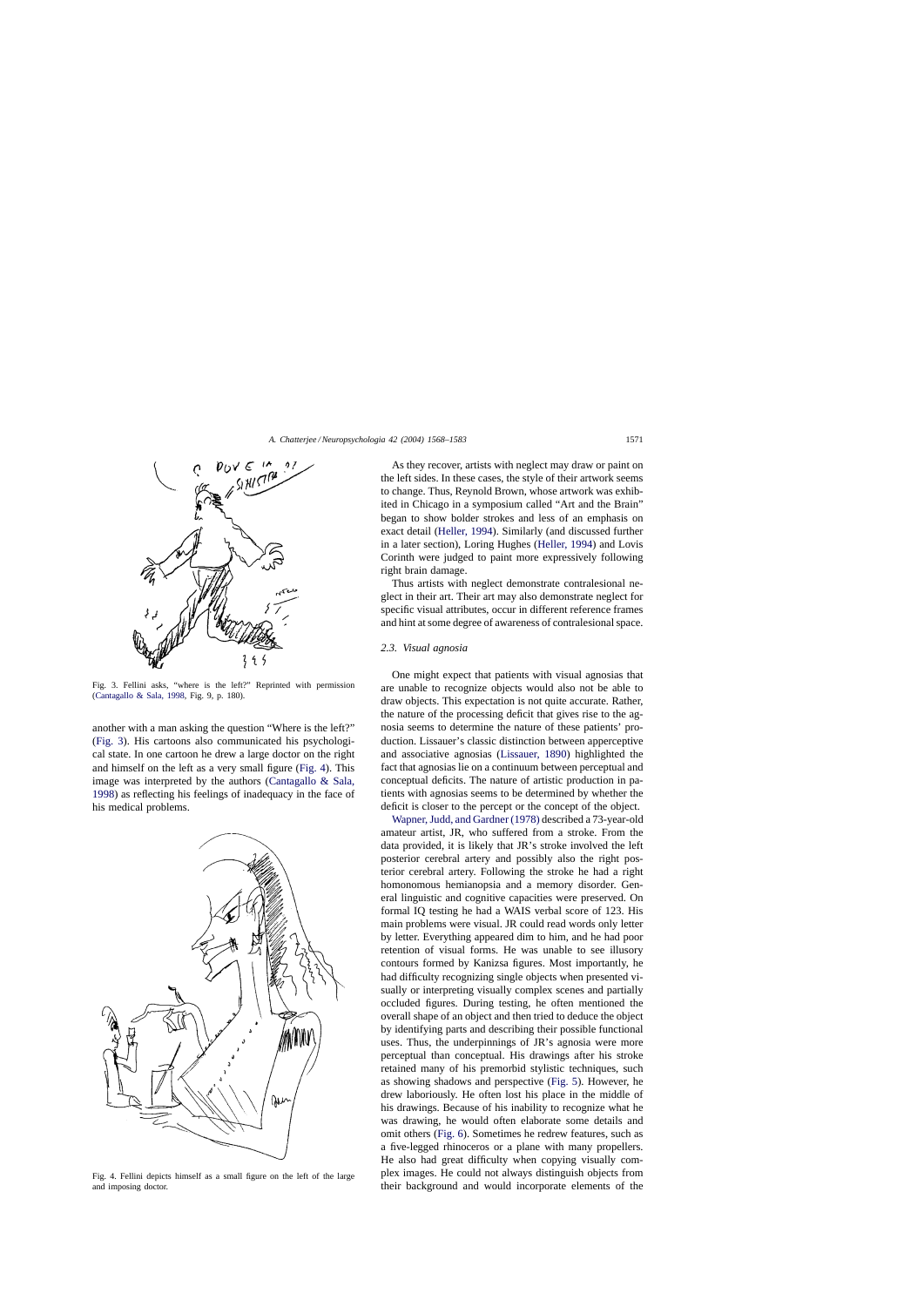<span id="page-3-0"></span>

Fig. 3. Fellini asks, "where is the left?" Reprinted with permission ([Cantagallo & Sala, 1998,](#page-14-0) Fig. 9, p. 180).

another with a man asking the question "Where is the left?" (Fig. 3). His cartoons also communicated his psychological state. In one cartoon he drew a large doctor on the right and himself on the left as a very small figure (Fig. 4). This image was interpreted by the authors [\(Cantagallo & Sala,](#page-14-0) [1998\)](#page-14-0) as reflecting his feelings of inadequacy in the face of his medical problems.



Fig. 4. Fellini depicts himself as a small figure on the left of the large and imposing doctor.

As they recover, artists with neglect may draw or paint on the left sides. In these cases, the style of their artwork seems to change. Thus, Reynold Brown, whose artwork was exhibited in Chicago in a symposium called "Art and the Brain" began to show bolder strokes and less of an emphasis on exact detail [\(Heller, 1994\).](#page-14-0) Similarly (and discussed further in a later section), Loring Hughes [\(Heller, 1994\)](#page-14-0) and Lovis Corinth were judged to paint more expressively following right brain damage.

Thus artists with neglect demonstrate contralesional neglect in their art. Their art may also demonstrate neglect for specific visual attributes, occur in different reference frames and hint at some degree of awareness of contralesional space.

## *2.3. Visual agnosia*

One might expect that patients with visual agnosias that are unable to recognize objects would also not be able to draw objects. This expectation is not quite accurate. Rather, the nature of the processing deficit that gives rise to the agnosia seems to determine the nature of these patients' production. Lissauer's classic distinction between apperceptive and associative agnosias [\(Lissauer, 1890\)](#page-14-0) highlighted the fact that agnosias lie on a continuum between perceptual and conceptual deficits. The nature of artistic production in patients with agnosias seems to be determined by whether the deficit is closer to the percept or the concept of the object.

[Wapner, Judd, and Gardner \(1978\)](#page-15-0) described a 73-year-old amateur artist, JR, who suffered from a stroke. From the data provided, it is likely that JR's stroke involved the left posterior cerebral artery and possibly also the right posterior cerebral artery. Following the stroke he had a right homonomous hemianopsia and a memory disorder. General linguistic and cognitive capacities were preserved. On formal IQ testing he had a WAIS verbal score of 123. His main problems were visual. JR could read words only letter by letter. Everything appeared dim to him, and he had poor retention of visual forms. He was unable to see illusory contours formed by Kanizsa figures. Most importantly, he had difficulty recognizing single objects when presented visually or interpreting visually complex scenes and partially occluded figures. During testing, he often mentioned the overall shape of an object and then tried to deduce the object by identifying parts and describing their possible functional uses. Thus, the underpinnings of JR's agnosia were more perceptual than conceptual. His drawings after his stroke retained many of his premorbid stylistic techniques, such as showing shadows and perspective ([Fig. 5\).](#page-4-0) However, he drew laboriously. He often lost his place in the middle of his drawings. Because of his inability to recognize what he was drawing, he would often elaborate some details and omit others ([Fig. 6\).](#page-4-0) Sometimes he redrew features, such as a five-legged rhinoceros or a plane with many propellers. He also had great difficulty when copying visually complex images. He could not always distinguish objects from their background and would incorporate elements of the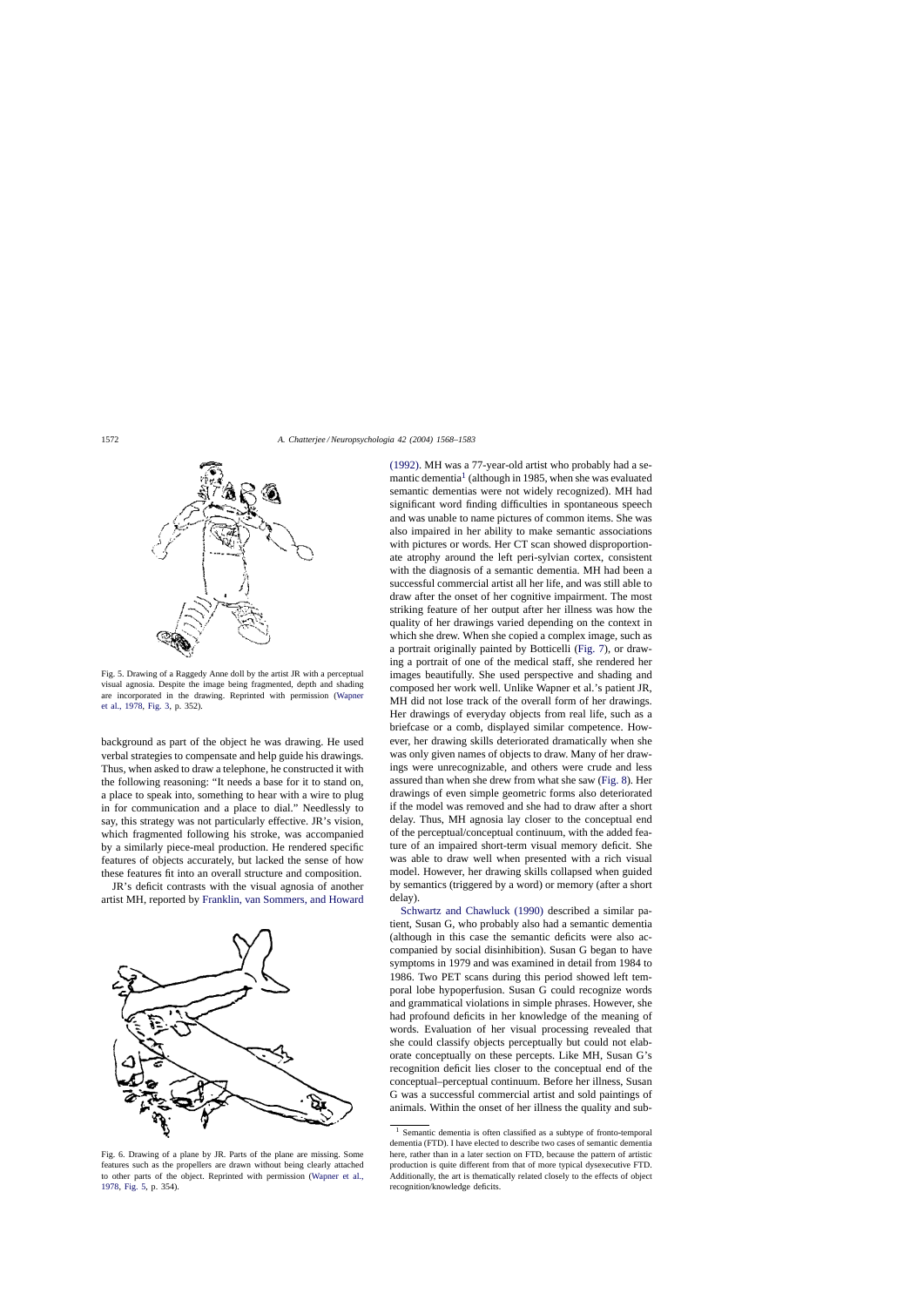<span id="page-4-0"></span>

Fig. 5. Drawing of a Raggedy Anne doll by the artist JR with a perceptual visual agnosia. Despite the image being fragmented, depth and shading are incorporated in the drawing. Reprinted with permission ([Wapner](#page-15-0) [et al., 1978,](#page-15-0) [Fig. 3,](#page-3-0) p. 352).

background as part of the object he was drawing. He used verbal strategies to compensate and help guide his drawings. Thus, when asked to draw a telephone, he constructed it with the following reasoning: "It needs a base for it to stand on, a place to speak into, something to hear with a wire to plug in for communication and a place to dial." Needlessly to say, this strategy was not particularly effective. JR's vision, which fragmented following his stroke, was accompanied by a similarly piece-meal production. He rendered specific features of objects accurately, but lacked the sense of how these features fit into an overall structure and composition.

JR's deficit contrasts with the visual agnosia of another artist MH, reported by [Franklin, van Sommers, and Howard](#page-14-0)



Fig. 6. Drawing of a plane by JR. Parts of the plane are missing. Some features such as the propellers are drawn without being clearly attached to other parts of the object. Reprinted with permission [\(Wapner et al.,](#page-15-0) [1978,](#page-15-0) Fig. 5, p. 354).

[\(1992\). M](#page-14-0)H was a 77-year-old artist who probably had a semantic dementia<sup>1</sup> (although in 1985, when she was evaluated semantic dementias were not widely recognized). MH had significant word finding difficulties in spontaneous speech and was unable to name pictures of common items. She was also impaired in her ability to make semantic associations with pictures or words. Her CT scan showed disproportionate atrophy around the left peri-sylvian cortex, consistent with the diagnosis of a semantic dementia. MH had been a successful commercial artist all her life, and was still able to draw after the onset of her cognitive impairment. The most striking feature of her output after her illness was how the quality of her drawings varied depending on the context in which she drew. When she copied a complex image, such as a portrait originally painted by Botticelli ([Fig. 7\),](#page-5-0) or drawing a portrait of one of the medical staff, she rendered her images beautifully. She used perspective and shading and composed her work well. Unlike Wapner et al.'s patient JR, MH did not lose track of the overall form of her drawings. Her drawings of everyday objects from real life, such as a briefcase or a comb, displayed similar competence. However, her drawing skills deteriorated dramatically when she was only given names of objects to draw. Many of her drawings were unrecognizable, and others were crude and less assured than when she drew from what she saw [\(Fig. 8\).](#page-6-0) Her drawings of even simple geometric forms also deteriorated if the model was removed and she had to draw after a short delay. Thus, MH agnosia lay closer to the conceptual end of the perceptual/conceptual continuum, with the added feature of an impaired short-term visual memory deficit. She was able to draw well when presented with a rich visual model. However, her drawing skills collapsed when guided by semantics (triggered by a word) or memory (after a short delay).

[Schwartz and Chawluck \(1990\)](#page-14-0) described a similar patient, Susan G, who probably also had a semantic dementia (although in this case the semantic deficits were also accompanied by social disinhibition). Susan G began to have symptoms in 1979 and was examined in detail from 1984 to 1986. Two PET scans during this period showed left temporal lobe hypoperfusion. Susan G could recognize words and grammatical violations in simple phrases. However, she had profound deficits in her knowledge of the meaning of words. Evaluation of her visual processing revealed that she could classify objects perceptually but could not elaborate conceptually on these percepts. Like MH, Susan G's recognition deficit lies closer to the conceptual end of the conceptual–perceptual continuum. Before her illness, Susan G was a successful commercial artist and sold paintings of animals. Within the onset of her illness the quality and sub-

<sup>1</sup> Semantic dementia is often classified as a subtype of fronto-temporal dementia (FTD). I have elected to describe two cases of semantic dementia here, rather than in a later section on FTD, because the pattern of artistic production is quite different from that of more typical dysexecutive FTD. Additionally, the art is thematically related closely to the effects of object recognition/knowledge deficits.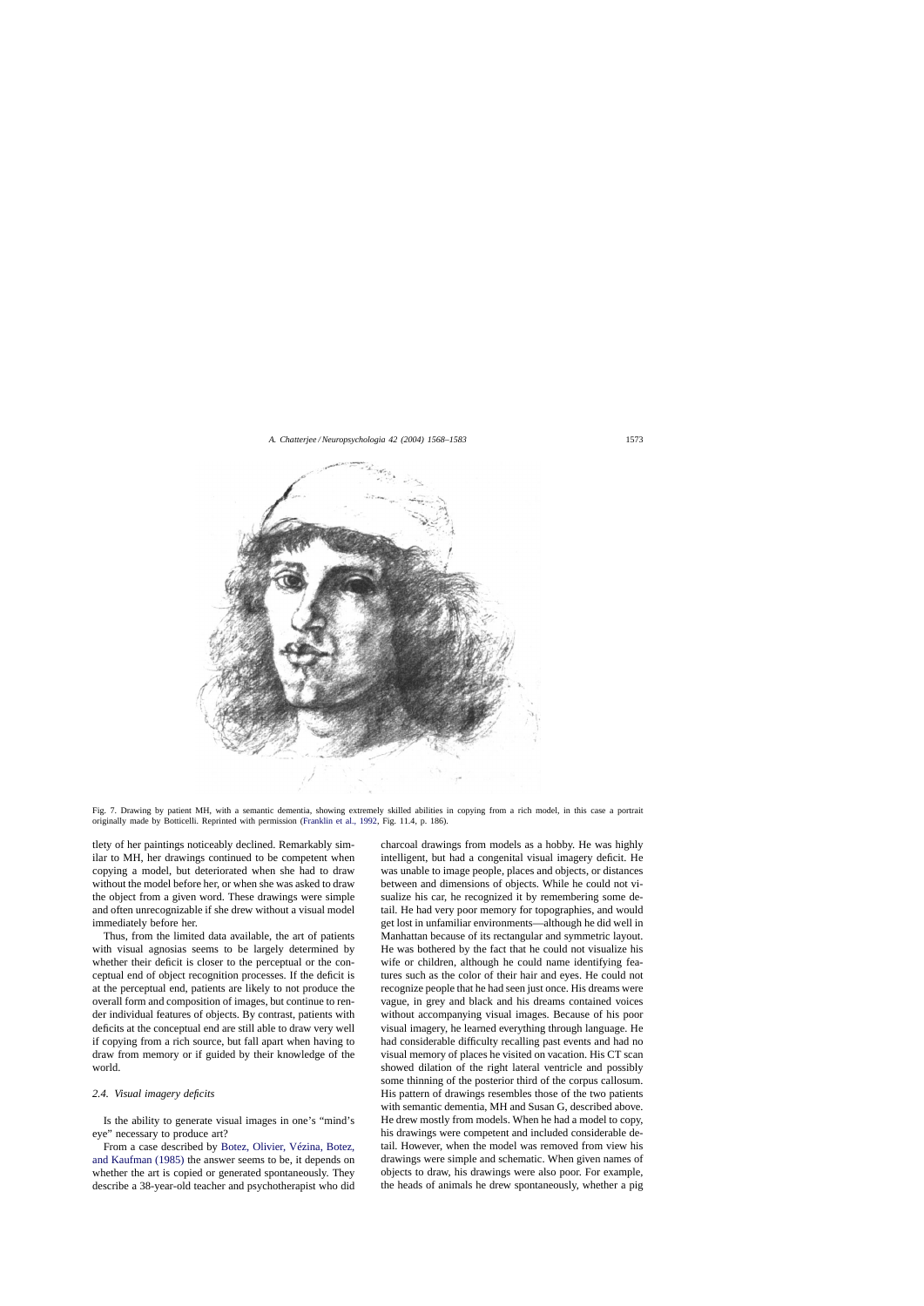<span id="page-5-0"></span>

Fig. 7. Drawing by patient MH, with a semantic dementia, showing extremely skilled abilities in copying from a rich model, in this case a portrait originally made by Botticelli. Reprinted with permission [\(Franklin et al., 1992, F](#page-14-0)ig. 11.4, p. 186).

tlety of her paintings noticeably declined. Remarkably similar to MH, her drawings continued to be competent when copying a model, but deteriorated when she had to draw without the model before her, or when she was asked to draw the object from a given word. These drawings were simple and often unrecognizable if she drew without a visual model immediately before her.

Thus, from the limited data available, the art of patients with visual agnosias seems to be largely determined by whether their deficit is closer to the perceptual or the conceptual end of object recognition processes. If the deficit is at the perceptual end, patients are likely to not produce the overall form and composition of images, but continue to render individual features of objects. By contrast, patients with deficits at the conceptual end are still able to draw very well if copying from a rich source, but fall apart when having to draw from memory or if guided by their knowledge of the world.

# *2.4. Visual imagery deficits*

Is the ability to generate visual images in one's "mind's eye" necessary to produce art?

From a case described by [Botez, Olivier, Vézina, Botez,](#page-14-0) [and Kaufman \(1985\)](#page-14-0) the answer seems to be, it depends on whether the art is copied or generated spontaneously. They describe a 38-year-old teacher and psychotherapist who did charcoal drawings from models as a hobby. He was highly intelligent, but had a congenital visual imagery deficit. He was unable to image people, places and objects, or distances between and dimensions of objects. While he could not visualize his car, he recognized it by remembering some detail. He had very poor memory for topographies, and would get lost in unfamiliar environments—although he did well in Manhattan because of its rectangular and symmetric layout. He was bothered by the fact that he could not visualize his wife or children, although he could name identifying features such as the color of their hair and eyes. He could not recognize people that he had seen just once. His dreams were vague, in grey and black and his dreams contained voices without accompanying visual images. Because of his poor visual imagery, he learned everything through language. He had considerable difficulty recalling past events and had no visual memory of places he visited on vacation. His CT scan showed dilation of the right lateral ventricle and possibly some thinning of the posterior third of the corpus callosum. His pattern of drawings resembles those of the two patients with semantic dementia, MH and Susan G, described above. He drew mostly from models. When he had a model to copy, his drawings were competent and included considerable detail. However, when the model was removed from view his drawings were simple and schematic. When given names of objects to draw, his drawings were also poor. For example, the heads of animals he drew spontaneously, whether a pig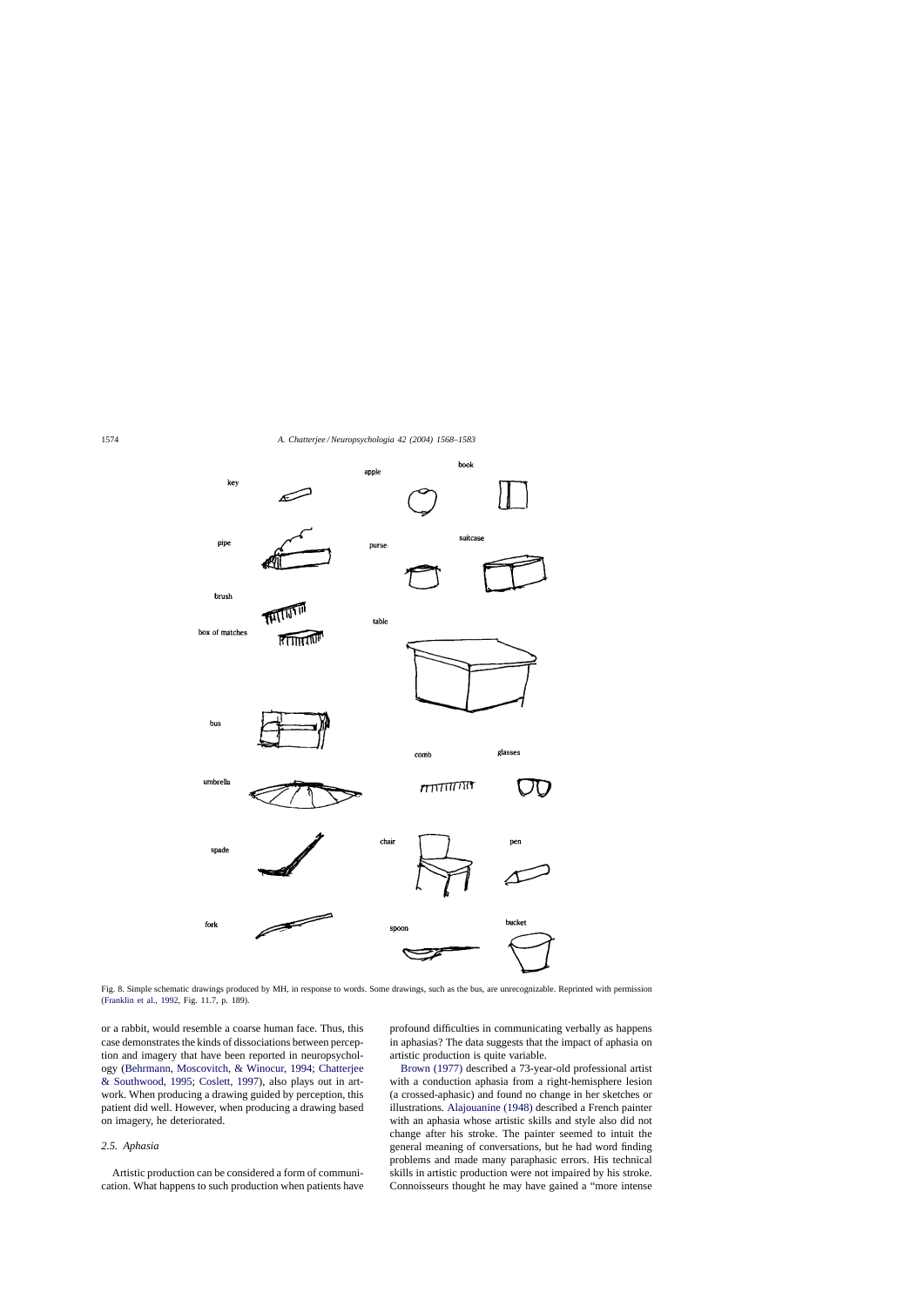<span id="page-6-0"></span>

Fig. 8. Simple schematic drawings produced by MH, in response to words. Some drawings, such as the bus, are unrecognizable. Reprinted with permission [\(Franklin et al., 1992,](#page-14-0) Fig. 11.7, p. 189).

or a rabbit, would resemble a coarse human face. Thus, this case demonstrates the kinds of dissociations between perception and imagery that have been reported in neuropsychology ([Behrmann, Moscovitch, & Winocur, 1994;](#page-14-0) [Chatterjee](#page-14-0) [& Southwood, 1995;](#page-14-0) [Coslett, 1997\),](#page-14-0) also plays out in artwork. When producing a drawing guided by perception, this patient did well. However, when producing a drawing based on imagery, he deteriorated.

#### *2.5. Aphasia*

Artistic production can be considered a form of communication. What happens to such production when patients have profound difficulties in communicating verbally as happens in aphasias? The data suggests that the impact of aphasia on artistic production is quite variable.

[Brown \(1977\)](#page-14-0) described a 73-year-old professional artist with a conduction aphasia from a right-hemisphere lesion (a crossed-aphasic) and found no change in her sketches or illustrations. [Alajouanine \(1948\)](#page-14-0) described a French painter with an aphasia whose artistic skills and style also did not change after his stroke. The painter seemed to intuit the general meaning of conversations, but he had word finding problems and made many paraphasic errors. His technical skills in artistic production were not impaired by his stroke. Connoisseurs thought he may have gained a "more intense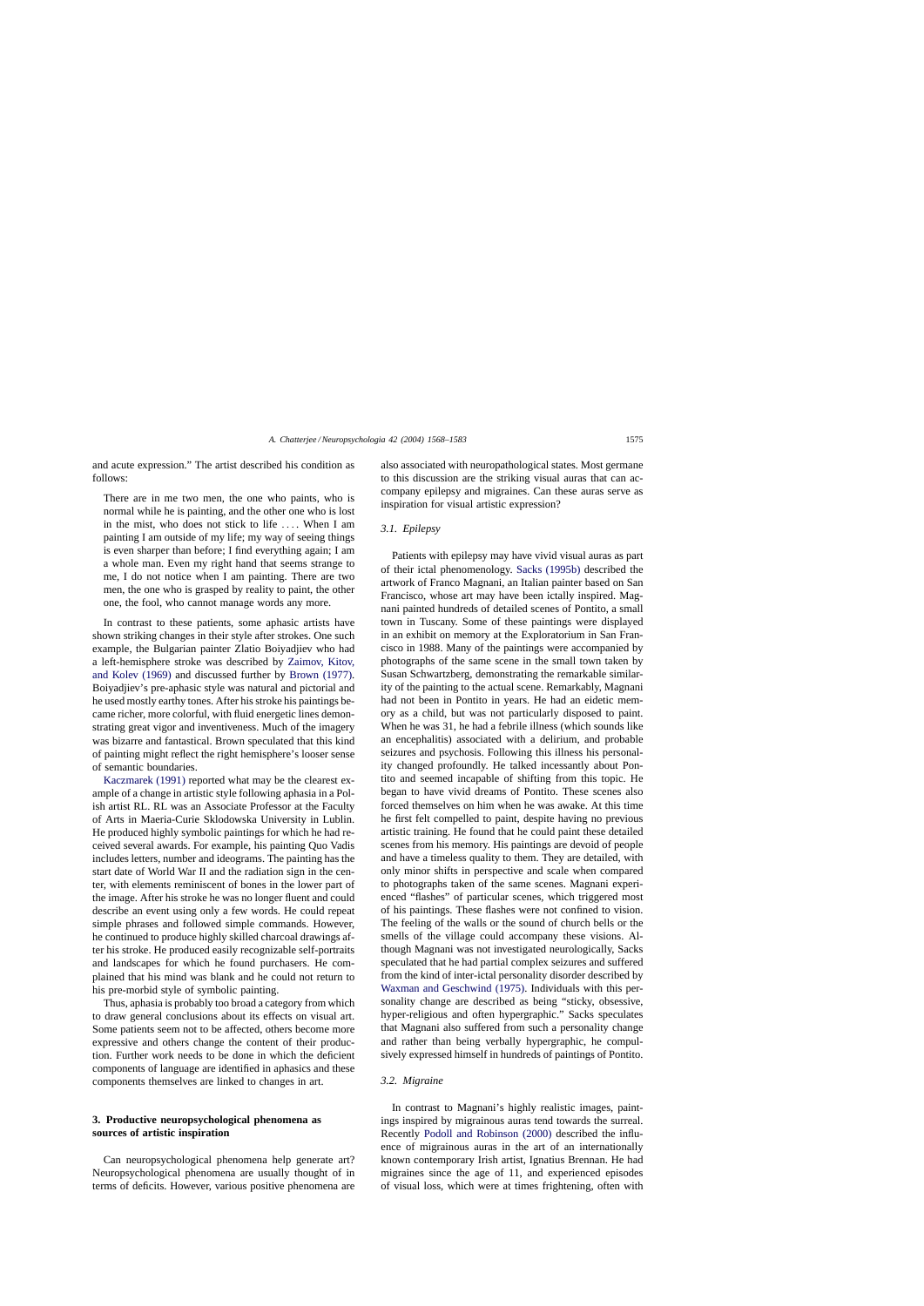and acute expression." The artist described his condition as follows:

There are in me two men, the one who paints, who is normal while he is painting, and the other one who is lost in the mist, who does not stick to life ... . When I am painting I am outside of my life; my way of seeing things is even sharper than before; I find everything again; I am a whole man. Even my right hand that seems strange to me, I do not notice when I am painting. There are two men, the one who is grasped by reality to paint, the other one, the fool, who cannot manage words any more.

In contrast to these patients, some aphasic artists have shown striking changes in their style after strokes. One such example, the Bulgarian painter Zlatio Boiyadjiev who had a left-hemisphere stroke was described by [Zaimov, Kitov,](#page-15-0) [and Kolev \(1969\)](#page-15-0) and discussed further by [Brown \(1977\).](#page-14-0) Boiyadjiev's pre-aphasic style was natural and pictorial and he used mostly earthy tones. After his stroke his paintings became richer, more colorful, with fluid energetic lines demonstrating great vigor and inventiveness. Much of the imagery was bizarre and fantastical. Brown speculated that this kind of painting might reflect the right hemisphere's looser sense of semantic boundaries.

[Kaczmarek \(1991\)](#page-14-0) reported what may be the clearest example of a change in artistic style following aphasia in a Polish artist RL. RL was an Associate Professor at the Faculty of Arts in Maeria-Curie Sklodowska University in Lublin. He produced highly symbolic paintings for which he had received several awards. For example, his painting Quo Vadis includes letters, number and ideograms. The painting has the start date of World War II and the radiation sign in the center, with elements reminiscent of bones in the lower part of the image. After his stroke he was no longer fluent and could describe an event using only a few words. He could repeat simple phrases and followed simple commands. However, he continued to produce highly skilled charcoal drawings after his stroke. He produced easily recognizable self-portraits and landscapes for which he found purchasers. He complained that his mind was blank and he could not return to his pre-morbid style of symbolic painting.

Thus, aphasia is probably too broad a category from which to draw general conclusions about its effects on visual art. Some patients seem not to be affected, others become more expressive and others change the content of their production. Further work needs to be done in which the deficient components of language are identified in aphasics and these components themselves are linked to changes in art.

## **3. Productive neuropsychological phenomena as sources of artistic inspiration**

Can neuropsychological phenomena help generate art? Neuropsychological phenomena are usually thought of in terms of deficits. However, various positive phenomena are also associated with neuropathological states. Most germane to this discussion are the striking visual auras that can accompany epilepsy and migraines. Can these auras serve as inspiration for visual artistic expression?

## *3.1. Epilepsy*

Patients with epilepsy may have vivid visual auras as part of their ictal phenomenology. [Sacks \(1995b\)](#page-14-0) described the artwork of Franco Magnani, an Italian painter based on San Francisco, whose art may have been ictally inspired. Magnani painted hundreds of detailed scenes of Pontito, a small town in Tuscany. Some of these paintings were displayed in an exhibit on memory at the Exploratorium in San Francisco in 1988. Many of the paintings were accompanied by photographs of the same scene in the small town taken by Susan Schwartzberg, demonstrating the remarkable similarity of the painting to the actual scene. Remarkably, Magnani had not been in Pontito in years. He had an eidetic memory as a child, but was not particularly disposed to paint. When he was 31, he had a febrile illness (which sounds like an encephalitis) associated with a delirium, and probable seizures and psychosis. Following this illness his personality changed profoundly. He talked incessantly about Pontito and seemed incapable of shifting from this topic. He began to have vivid dreams of Pontito. These scenes also forced themselves on him when he was awake. At this time he first felt compelled to paint, despite having no previous artistic training. He found that he could paint these detailed scenes from his memory. His paintings are devoid of people and have a timeless quality to them. They are detailed, with only minor shifts in perspective and scale when compared to photographs taken of the same scenes. Magnani experienced "flashes" of particular scenes, which triggered most of his paintings. These flashes were not confined to vision. The feeling of the walls or the sound of church bells or the smells of the village could accompany these visions. Although Magnani was not investigated neurologically, Sacks speculated that he had partial complex seizures and suffered from the kind of inter-ictal personality disorder described by [Waxman and Geschwind \(1975\).](#page-15-0) Individuals with this personality change are described as being "sticky, obsessive, hyper-religious and often hypergraphic." Sacks speculates that Magnani also suffered from such a personality change and rather than being verbally hypergraphic, he compulsively expressed himself in hundreds of paintings of Pontito.

# *3.2. Migraine*

In contrast to Magnani's highly realistic images, paintings inspired by migrainous auras tend towards the surreal. Recently [Podoll and Robinson \(2000\)](#page-14-0) described the influence of migrainous auras in the art of an internationally known contemporary Irish artist, Ignatius Brennan. He had migraines since the age of 11, and experienced episodes of visual loss, which were at times frightening, often with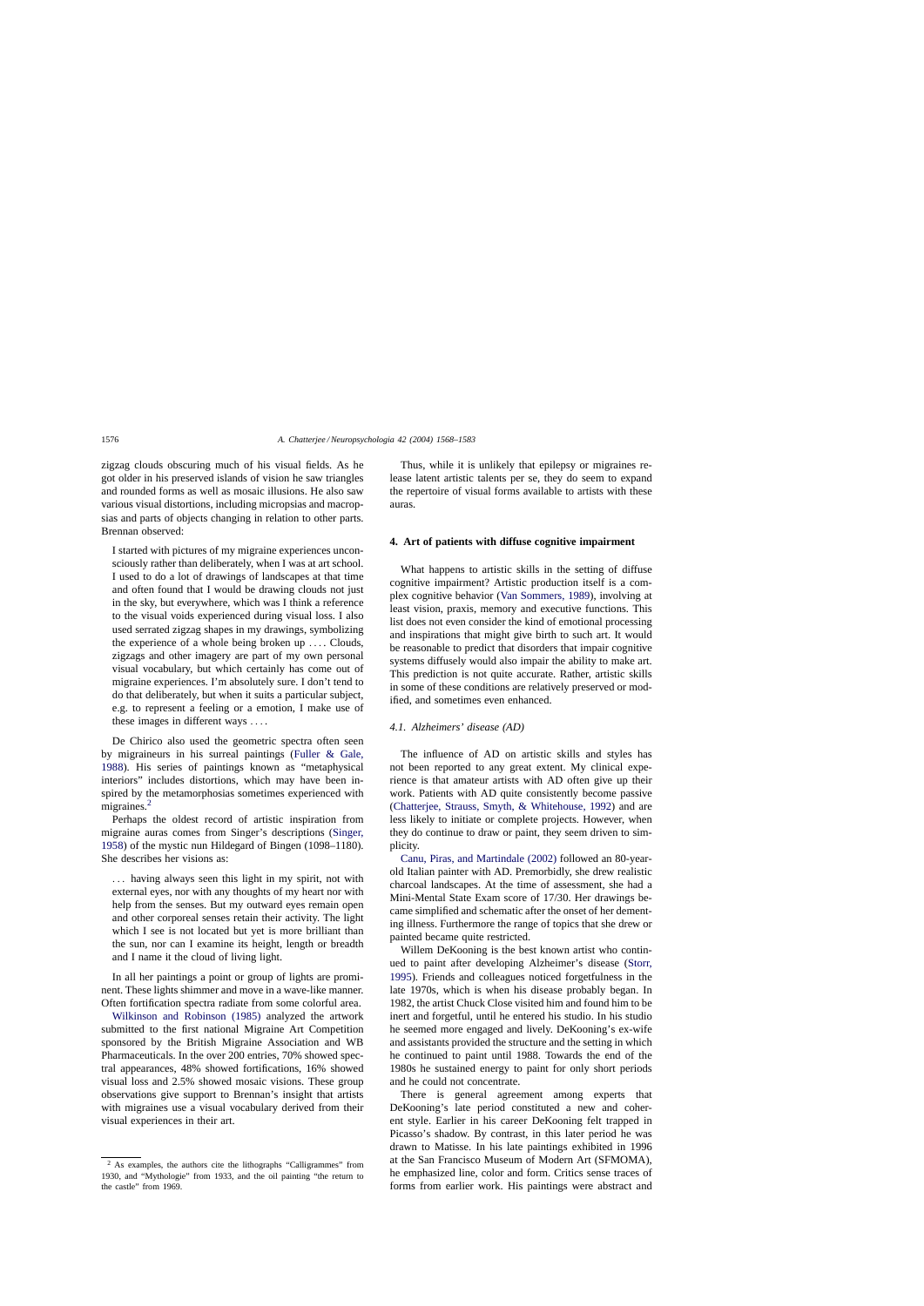zigzag clouds obscuring much of his visual fields. As he got older in his preserved islands of vision he saw triangles and rounded forms as well as mosaic illusions. He also saw various visual distortions, including micropsias and macropsias and parts of objects changing in relation to other parts. Brennan observed:

I started with pictures of my migraine experiences unconsciously rather than deliberately, when I was at art school. I used to do a lot of drawings of landscapes at that time and often found that I would be drawing clouds not just in the sky, but everywhere, which was I think a reference to the visual voids experienced during visual loss. I also used serrated zigzag shapes in my drawings, symbolizing the experience of a whole being broken up ... . Clouds, zigzags and other imagery are part of my own personal visual vocabulary, but which certainly has come out of migraine experiences. I'm absolutely sure. I don't tend to do that deliberately, but when it suits a particular subject, e.g. to represent a feeling or a emotion, I make use of these images in different ways ... .

De Chirico also used the geometric spectra often seen by migraineurs in his surreal paintings [\(Fuller & Gale,](#page-14-0) [1988\).](#page-14-0) His series of paintings known as "metaphysical interiors" includes distortions, which may have been inspired by the metamorphosias sometimes experienced with migraines.2

Perhaps the oldest record of artistic inspiration from migraine auras comes from Singer's descriptions [\(Singer,](#page-15-0) [1958\)](#page-15-0) of the mystic nun Hildegard of Bingen (1098–1180). She describes her visions as:

... having always seen this light in my spirit, not with external eyes, nor with any thoughts of my heart nor with help from the senses. But my outward eyes remain open and other corporeal senses retain their activity. The light which I see is not located but yet is more brilliant than the sun, nor can I examine its height, length or breadth and I name it the cloud of living light.

In all her paintings a point or group of lights are prominent. These lights shimmer and move in a wave-like manner. Often fortification spectra radiate from some colorful area.

[Wilkinson and Robinson \(1985\)](#page-15-0) analyzed the artwork submitted to the first national Migraine Art Competition sponsored by the British Migraine Association and WB Pharmaceuticals. In the over 200 entries, 70% showed spectral appearances, 48% showed fortifications, 16% showed visual loss and 2.5% showed mosaic visions. These group observations give support to Brennan's insight that artists with migraines use a visual vocabulary derived from their visual experiences in their art.

Thus, while it is unlikely that epilepsy or migraines release latent artistic talents per se, they do seem to expand the repertoire of visual forms available to artists with these auras.

## **4. Art of patients with diffuse cognitive impairment**

What happens to artistic skills in the setting of diffuse cognitive impairment? Artistic production itself is a complex cognitive behavior [\(Van Sommers, 1989\),](#page-15-0) involving at least vision, praxis, memory and executive functions. This list does not even consider the kind of emotional processing and inspirations that might give birth to such art. It would be reasonable to predict that disorders that impair cognitive systems diffusely would also impair the ability to make art. This prediction is not quite accurate. Rather, artistic skills in some of these conditions are relatively preserved or modified, and sometimes even enhanced.

## *4.1. Alzheimers' disease (AD)*

The influence of AD on artistic skills and styles has not been reported to any great extent. My clinical experience is that amateur artists with AD often give up their work. Patients with AD quite consistently become passive ([Chatterjee, Strauss, Smyth, & Whitehouse, 1992\)](#page-14-0) and are less likely to initiate or complete projects. However, when they do continue to draw or paint, they seem driven to simplicity.

[Canu, Piras, and Martindale \(2002\)](#page-14-0) followed an 80-yearold Italian painter with AD. Premorbidly, she drew realistic charcoal landscapes. At the time of assessment, she had a Mini-Mental State Exam score of 17/30. Her drawings became simplified and schematic after the onset of her dementing illness. Furthermore the range of topics that she drew or painted became quite restricted.

Willem DeKooning is the best known artist who continued to paint after developing Alzheimer's disease ([Storr,](#page-15-0) [1995\).](#page-15-0) Friends and colleagues noticed forgetfulness in the late 1970s, which is when his disease probably began. In 1982, the artist Chuck Close visited him and found him to be inert and forgetful, until he entered his studio. In his studio he seemed more engaged and lively. DeKooning's ex-wife and assistants provided the structure and the setting in which he continued to paint until 1988. Towards the end of the 1980s he sustained energy to paint for only short periods and he could not concentrate.

There is general agreement among experts that DeKooning's late period constituted a new and coherent style. Earlier in his career DeKooning felt trapped in Picasso's shadow. By contrast, in this later period he was drawn to Matisse. In his late paintings exhibited in 1996 at the San Francisco Museum of Modern Art (SFMOMA), he emphasized line, color and form. Critics sense traces of forms from earlier work. His paintings were abstract and

<sup>2</sup> As examples, the authors cite the lithographs "Calligrammes" from 1930, and "Mythologie" from 1933, and the oil painting "the return to the castle" from 1969.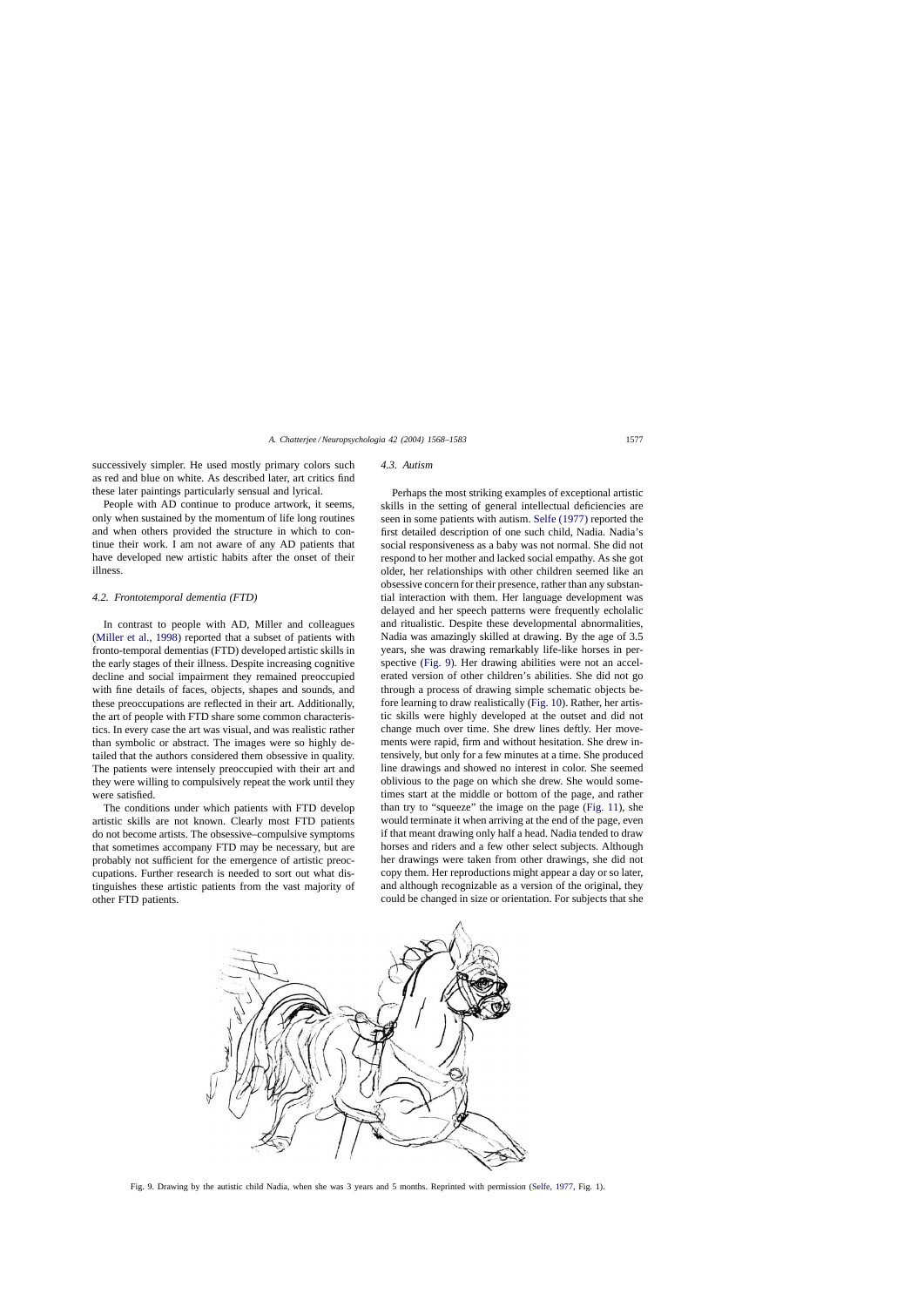<span id="page-9-0"></span>successively simpler. He used mostly primary colors such as red and blue on white. As described later, art critics find these later paintings particularly sensual and lyrical.

People with AD continue to produce artwork, it seems, only when sustained by the momentum of life long routines and when others provided the structure in which to continue their work. I am not aware of any AD patients that have developed new artistic habits after the onset of their illness.

### *4.2. Frontotemporal dementia (FTD)*

In contrast to people with AD, Miller and colleagues ([Miller et al., 1998\)](#page-14-0) reported that a subset of patients with fronto-temporal dementias (FTD) developed artistic skills in the early stages of their illness. Despite increasing cognitive decline and social impairment they remained preoccupied with fine details of faces, objects, shapes and sounds, and these preoccupations are reflected in their art. Additionally, the art of people with FTD share some common characteristics. In every case the art was visual, and was realistic rather than symbolic or abstract. The images were so highly detailed that the authors considered them obsessive in quality. The patients were intensely preoccupied with their art and they were willing to compulsively repeat the work until they were satisfied.

The conditions under which patients with FTD develop artistic skills are not known. Clearly most FTD patients do not become artists. The obsessive–compulsive symptoms that sometimes accompany FTD may be necessary, but are probably not sufficient for the emergence of artistic preoccupations. Further research is needed to sort out what distinguishes these artistic patients from the vast majority of other FTD patients.

#### *4.3. Autism*

Perhaps the most striking examples of exceptional artistic skills in the setting of general intellectual deficiencies are seen in some patients with autism. [Selfe \(1977\)](#page-15-0) reported the first detailed description of one such child, Nadia. Nadia's social responsiveness as a baby was not normal. She did not respond to her mother and lacked social empathy. As she got older, her relationships with other children seemed like an obsessive concern for their presence, rather than any substantial interaction with them. Her language development was delayed and her speech patterns were frequently echolalic and ritualistic. Despite these developmental abnormalities, Nadia was amazingly skilled at drawing. By the age of 3.5 years, she was drawing remarkably life-like horses in perspective (Fig. 9). Her drawing abilities were not an accelerated version of other children's abilities. She did not go through a process of drawing simple schematic objects before learning to draw realistically [\(Fig. 10\).](#page-10-0) Rather, her artistic skills were highly developed at the outset and did not change much over time. She drew lines deftly. Her movements were rapid, firm and without hesitation. She drew intensively, but only for a few minutes at a time. She produced line drawings and showed no interest in color. She seemed oblivious to the page on which she drew. She would sometimes start at the middle or bottom of the page, and rather than try to "squeeze" the image on the page ([Fig. 11\),](#page-10-0) she would terminate it when arriving at the end of the page, even if that meant drawing only half a head. Nadia tended to draw horses and riders and a few other select subjects. Although her drawings were taken from other drawings, she did not copy them. Her reproductions might appear a day or so later, and although recognizable as a version of the original, they could be changed in size or orientation. For subjects that she



Fig. 9. Drawing by the autistic child Nadia, when she was 3 years and 5 months. Reprinted with permission [\(Selfe, 1977,](#page-15-0) Fig. 1).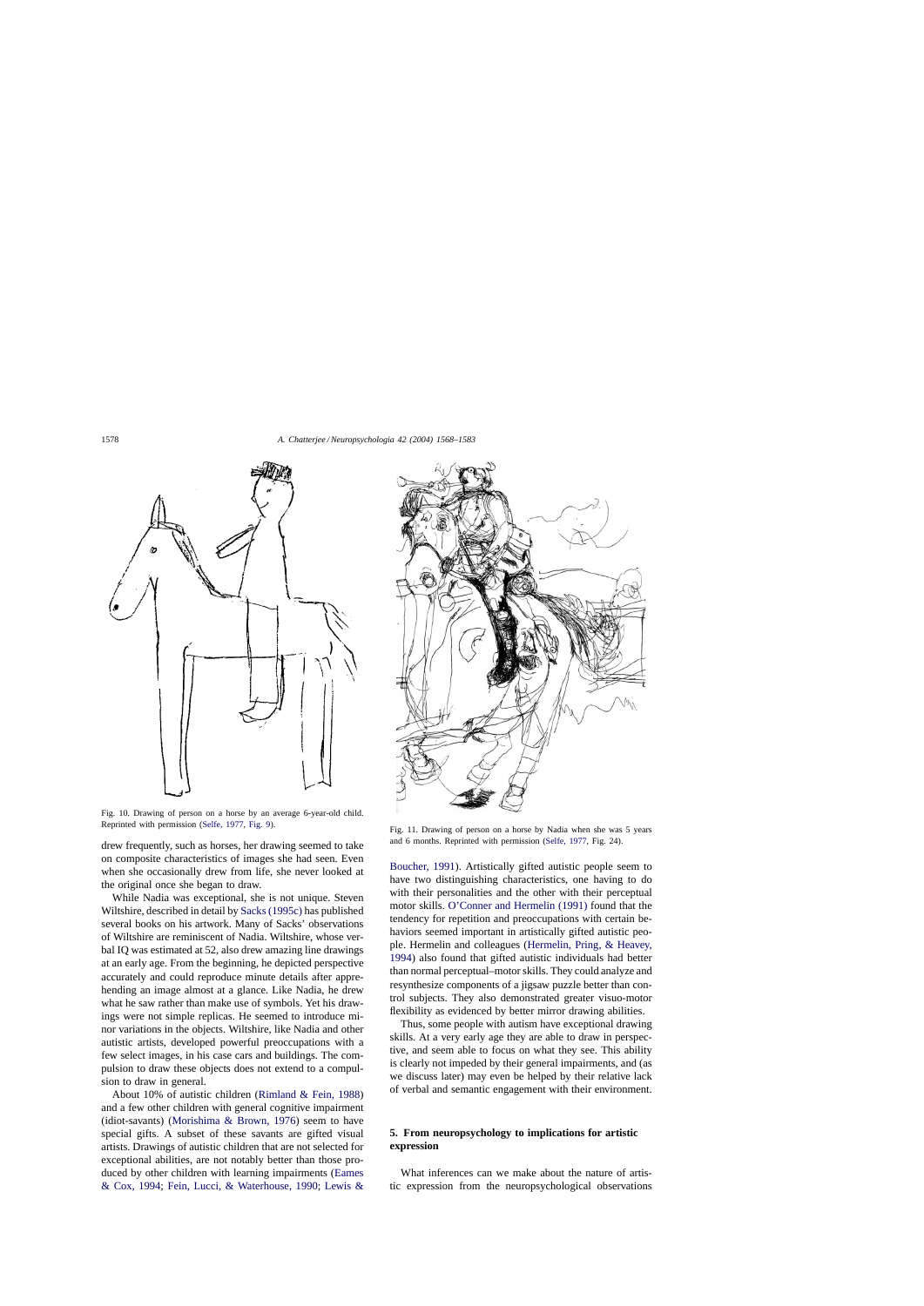<span id="page-10-0"></span>

Fig. 10. Drawing of person on a horse by an average 6-year-old child. Reprinted with permission ([Selfe, 1977,](#page-15-0) [Fig. 9\).](#page-9-0)

drew frequently, such as horses, her drawing seemed to take on composite characteristics of images she had seen. Even when she occasionally drew from life, she never looked at the original once she began to draw.

While Nadia was exceptional, she is not unique. Steven Wiltshire, described in detail by [Sacks \(1995c\)](#page-14-0) has published several books on his artwork. Many of Sacks' observations of Wiltshire are reminiscent of Nadia. Wiltshire, whose verbal IQ was estimated at 52, also drew amazing line drawings at an early age. From the beginning, he depicted perspective accurately and could reproduce minute details after apprehending an image almost at a glance. Like Nadia, he drew what he saw rather than make use of symbols. Yet his drawings were not simple replicas. He seemed to introduce minor variations in the objects. Wiltshire, like Nadia and other autistic artists, developed powerful preoccupations with a few select images, in his case cars and buildings. The compulsion to draw these objects does not extend to a compulsion to draw in general.

About 10% of autistic children ([Rimland & Fein, 1988\)](#page-14-0) and a few other children with general cognitive impairment (idiot-savants) ([Morishima & Brown, 1976\)](#page-14-0) seem to have special gifts. A subset of these savants are gifted visual artists. Drawings of autistic children that are not selected for exceptional abilities, are not notably better than those produced by other children with learning impairments ([Eames](#page-14-0) [& Cox, 1994;](#page-14-0) [Fein, Lucci, & Waterhouse, 1990;](#page-14-0) [Lewis &](#page-14-0)



Fig. 11. Drawing of person on a horse by Nadia when she was 5 years and 6 months. Reprinted with permission ([Selfe, 1977, F](#page-15-0)ig. 24).

[Boucher, 1991\).](#page-14-0) Artistically gifted autistic people seem to have two distinguishing characteristics, one having to do with their personalities and the other with their perceptual motor skills. [O'Conner and Hermelin \(1991\)](#page-14-0) found that the tendency for repetition and preoccupations with certain behaviors seemed important in artistically gifted autistic people. Hermelin and colleagues ([Hermelin, Pring, & Heavey,](#page-14-0) [1994\)](#page-14-0) also found that gifted autistic individuals had better than normal perceptual–motor skills. They could analyze and resynthesize components of a jigsaw puzzle better than control subjects. They also demonstrated greater visuo-motor flexibility as evidenced by better mirror drawing abilities.

Thus, some people with autism have exceptional drawing skills. At a very early age they are able to draw in perspective, and seem able to focus on what they see. This ability is clearly not impeded by their general impairments, and (as we discuss later) may even be helped by their relative lack of verbal and semantic engagement with their environment.

# **5. From neuropsychology to implications for artistic expression**

What inferences can we make about the nature of artistic expression from the neuropsychological observations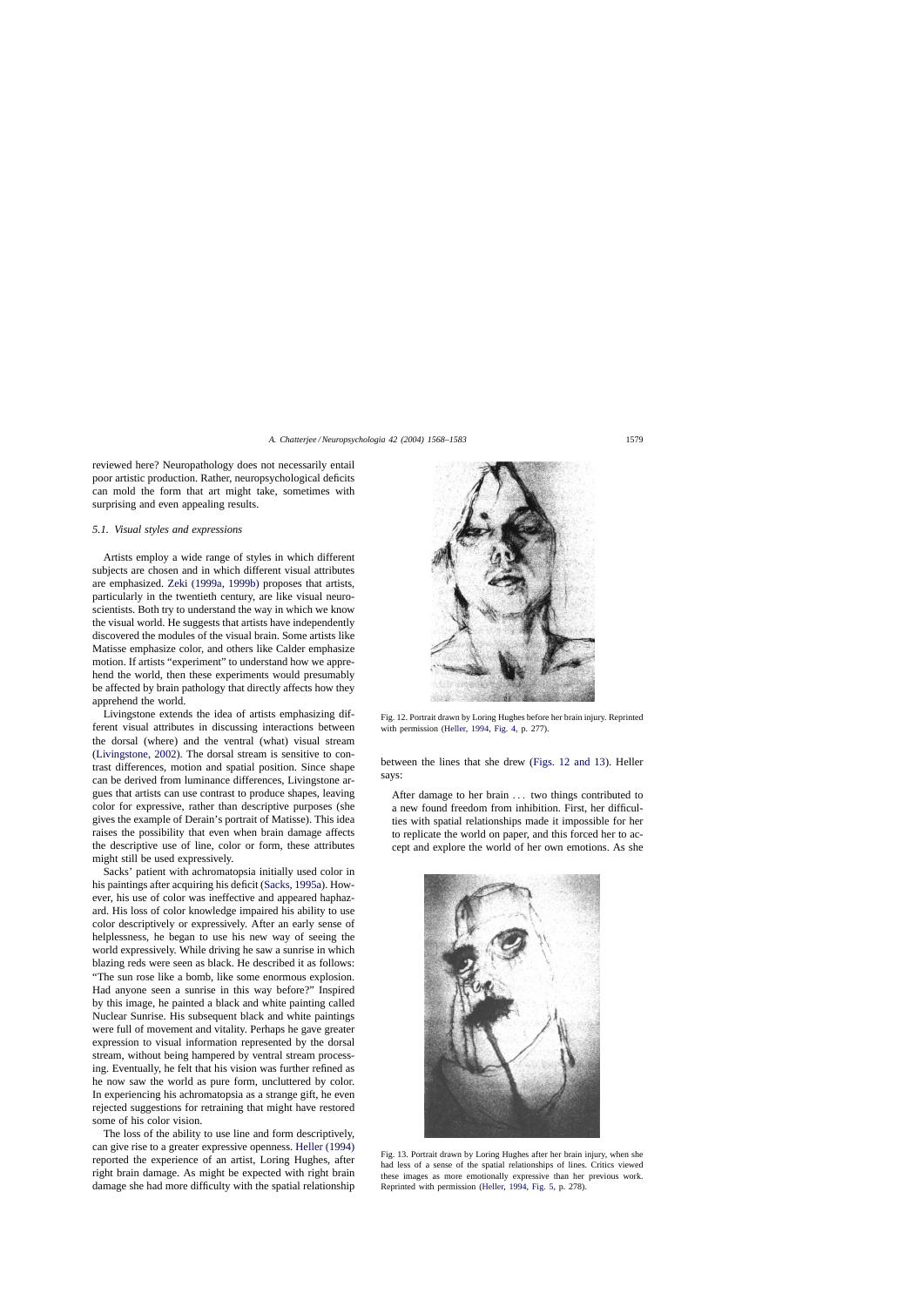reviewed here? Neuropathology does not necessarily entail poor artistic production. Rather, neuropsychological deficits can mold the form that art might take, sometimes with surprising and even appealing results.

#### *5.1. Visual styles and expressions*

Artists employ a wide range of styles in which different subjects are chosen and in which different visual attributes are emphasized. [Zeki \(1999a, 1999b\)](#page-15-0) proposes that artists, particularly in the twentieth century, are like visual neuroscientists. Both try to understand the way in which we know the visual world. He suggests that artists have independently discovered the modules of the visual brain. Some artists like Matisse emphasize color, and others like Calder emphasize motion. If artists "experiment" to understand how we apprehend the world, then these experiments would presumably be affected by brain pathology that directly affects how they apprehend the world.

Livingstone extends the idea of artists emphasizing different visual attributes in discussing interactions between the dorsal (where) and the ventral (what) visual stream ([Livingstone, 2002\).](#page-14-0) The dorsal stream is sensitive to contrast differences, motion and spatial position. Since shape can be derived from luminance differences, Livingstone argues that artists can use contrast to produce shapes, leaving color for expressive, rather than descriptive purposes (she gives the example of Derain's portrait of Matisse). This idea raises the possibility that even when brain damage affects the descriptive use of line, color or form, these attributes might still be used expressively.

Sacks' patient with achromatopsia initially used color in his paintings after acquiring his deficit ([Sacks, 1995a\).](#page-14-0) However, his use of color was ineffective and appeared haphazard. His loss of color knowledge impaired his ability to use color descriptively or expressively. After an early sense of helplessness, he began to use his new way of seeing the world expressively. While driving he saw a sunrise in which blazing reds were seen as black. He described it as follows: "The sun rose like a bomb, like some enormous explosion. Had anyone seen a sunrise in this way before?" Inspired by this image, he painted a black and white painting called Nuclear Sunrise. His subsequent black and white paintings were full of movement and vitality. Perhaps he gave greater expression to visual information represented by the dorsal stream, without being hampered by ventral stream processing. Eventually, he felt that his vision was further refined as he now saw the world as pure form, uncluttered by color. In experiencing his achromatopsia as a strange gift, he even rejected suggestions for retraining that might have restored some of his color vision.

The loss of the ability to use line and form descriptively, can give rise to a greater expressive openness. [Heller \(1994\)](#page-14-0) reported the experience of an artist, Loring Hughes, after right brain damage. As might be expected with right brain damage she had more difficulty with the spatial relationship

Fig. 12. Portrait drawn by Loring Hughes before her brain injury. Reprinted with permission [\(Heller, 1994,](#page-14-0) [Fig. 4,](#page-3-0) p. 277).

between the lines that she drew (Figs. 12 and 13). Heller says:

After damage to her brain ... two things contributed to a new found freedom from inhibition. First, her difficulties with spatial relationships made it impossible for her to replicate the world on paper, and this forced her to accept and explore the world of her own emotions. As she

Fig. 13. Portrait drawn by Loring Hughes after her brain injury, when she had less of a sense of the spatial relationships of lines. Critics viewed these images as more emotionally expressive than her previous work. Reprinted with permission ([Heller, 1994,](#page-14-0) [Fig. 5, p](#page-4-0). 278).



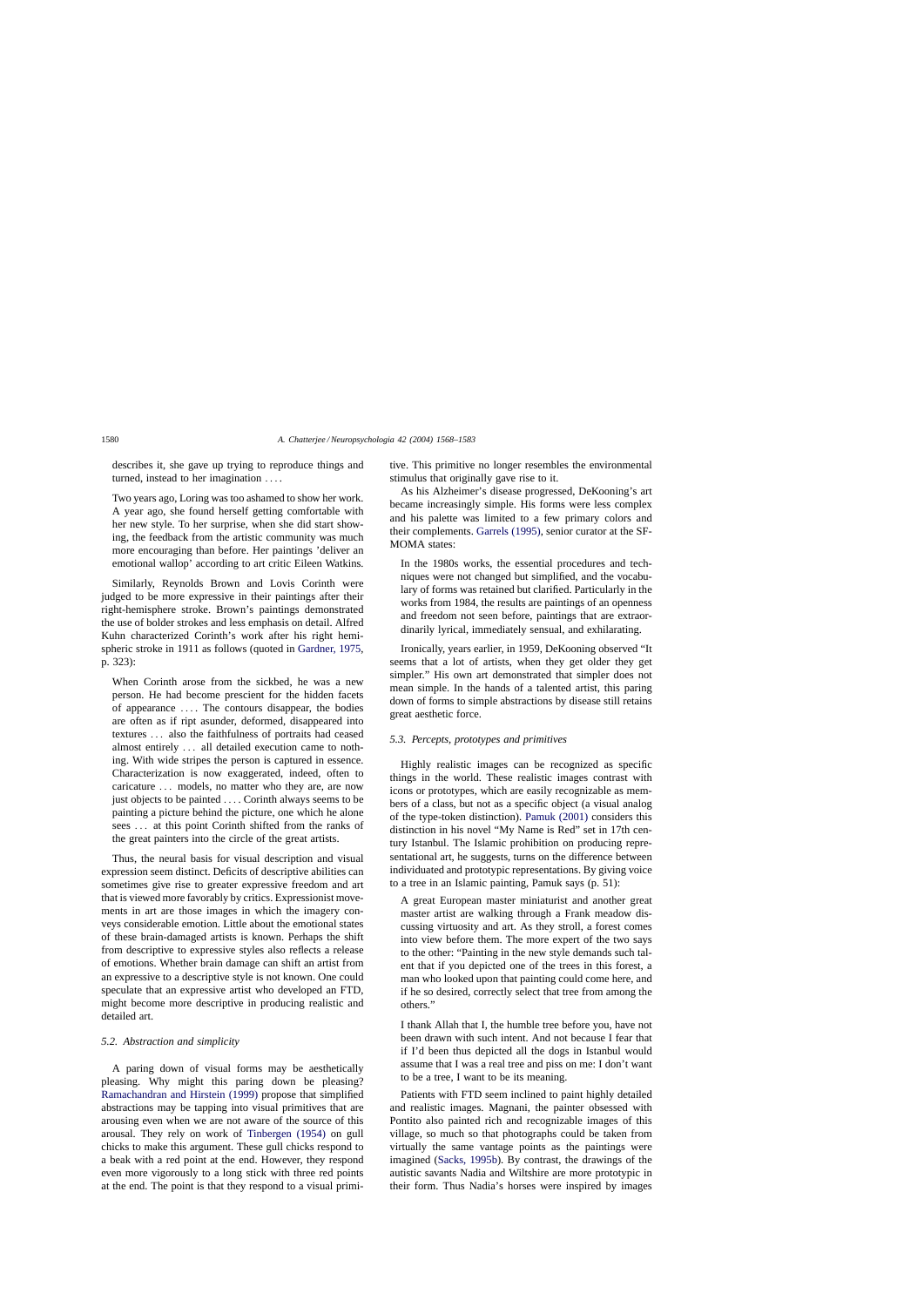describes it, she gave up trying to reproduce things and turned, instead to her imagination ... .

Two years ago, Loring was too ashamed to show her work. A year ago, she found herself getting comfortable with her new style. To her surprise, when she did start showing, the feedback from the artistic community was much more encouraging than before. Her paintings 'deliver an emotional wallop' according to art critic Eileen Watkins.

Similarly, Reynolds Brown and Lovis Corinth were judged to be more expressive in their paintings after their right-hemisphere stroke. Brown's paintings demonstrated the use of bolder strokes and less emphasis on detail. Alfred Kuhn characterized Corinth's work after his right hemispheric stroke in 1911 as follows (quoted in [Gardner, 1975,](#page-14-0) p. 323):

When Corinth arose from the sickbed, he was a new person. He had become prescient for the hidden facets of appearance ... . The contours disappear, the bodies are often as if ript asunder, deformed, disappeared into textures ... also the faithfulness of portraits had ceased almost entirely ... all detailed execution came to nothing. With wide stripes the person is captured in essence. Characterization is now exaggerated, indeed, often to caricature ... models, no matter who they are, are now just objects to be painted ... . Corinth always seems to be painting a picture behind the picture, one which he alone sees ... at this point Corinth shifted from the ranks of the great painters into the circle of the great artists.

Thus, the neural basis for visual description and visual expression seem distinct. Deficits of descriptive abilities can sometimes give rise to greater expressive freedom and art that is viewed more favorably by critics. Expressionist movements in art are those images in which the imagery conveys considerable emotion. Little about the emotional states of these brain-damaged artists is known. Perhaps the shift from descriptive to expressive styles also reflects a release of emotions. Whether brain damage can shift an artist from an expressive to a descriptive style is not known. One could speculate that an expressive artist who developed an FTD, might become more descriptive in producing realistic and detailed art.

#### *5.2. Abstraction and simplicity*

A paring down of visual forms may be aesthetically pleasing. Why might this paring down be pleasing? [Ramachandran and Hirstein \(1999\)](#page-14-0) propose that simplified abstractions may be tapping into visual primitives that are arousing even when we are not aware of the source of this arousal. They rely on work of [Tinbergen \(1954\)](#page-15-0) on gull chicks to make this argument. These gull chicks respond to a beak with a red point at the end. However, they respond even more vigorously to a long stick with three red points at the end. The point is that they respond to a visual primitive. This primitive no longer resembles the environmental stimulus that originally gave rise to it.

As his Alzheimer's disease progressed, DeKooning's art became increasingly simple. His forms were less complex and his palette was limited to a few primary colors and their complements. [Garrels \(1995\), s](#page-14-0)enior curator at the SF-MOMA states:

In the 1980s works, the essential procedures and techniques were not changed but simplified, and the vocabulary of forms was retained but clarified. Particularly in the works from 1984, the results are paintings of an openness and freedom not seen before, paintings that are extraordinarily lyrical, immediately sensual, and exhilarating.

Ironically, years earlier, in 1959, DeKooning observed "It seems that a lot of artists, when they get older they get simpler." His own art demonstrated that simpler does not mean simple. In the hands of a talented artist, this paring down of forms to simple abstractions by disease still retains great aesthetic force.

## *5.3. Percepts, prototypes and primitives*

Highly realistic images can be recognized as specific things in the world. These realistic images contrast with icons or prototypes, which are easily recognizable as members of a class, but not as a specific object (a visual analog of the type-token distinction). [Pamuk \(2001\)](#page-14-0) considers this distinction in his novel "My Name is Red" set in 17th century Istanbul. The Islamic prohibition on producing representational art, he suggests, turns on the difference between individuated and prototypic representations. By giving voice to a tree in an Islamic painting, Pamuk says (p. 51):

A great European master miniaturist and another great master artist are walking through a Frank meadow discussing virtuosity and art. As they stroll, a forest comes into view before them. The more expert of the two says to the other: "Painting in the new style demands such talent that if you depicted one of the trees in this forest, a man who looked upon that painting could come here, and if he so desired, correctly select that tree from among the others."

I thank Allah that I, the humble tree before you, have not been drawn with such intent. And not because I fear that if I'd been thus depicted all the dogs in Istanbul would assume that I was a real tree and piss on me: I don't want to be a tree, I want to be its meaning.

Patients with FTD seem inclined to paint highly detailed and realistic images. Magnani, the painter obsessed with Pontito also painted rich and recognizable images of this village, so much so that photographs could be taken from virtually the same vantage points as the paintings were imagined [\(Sacks, 1995b\).](#page-14-0) By contrast, the drawings of the autistic savants Nadia and Wiltshire are more prototypic in their form. Thus Nadia's horses were inspired by images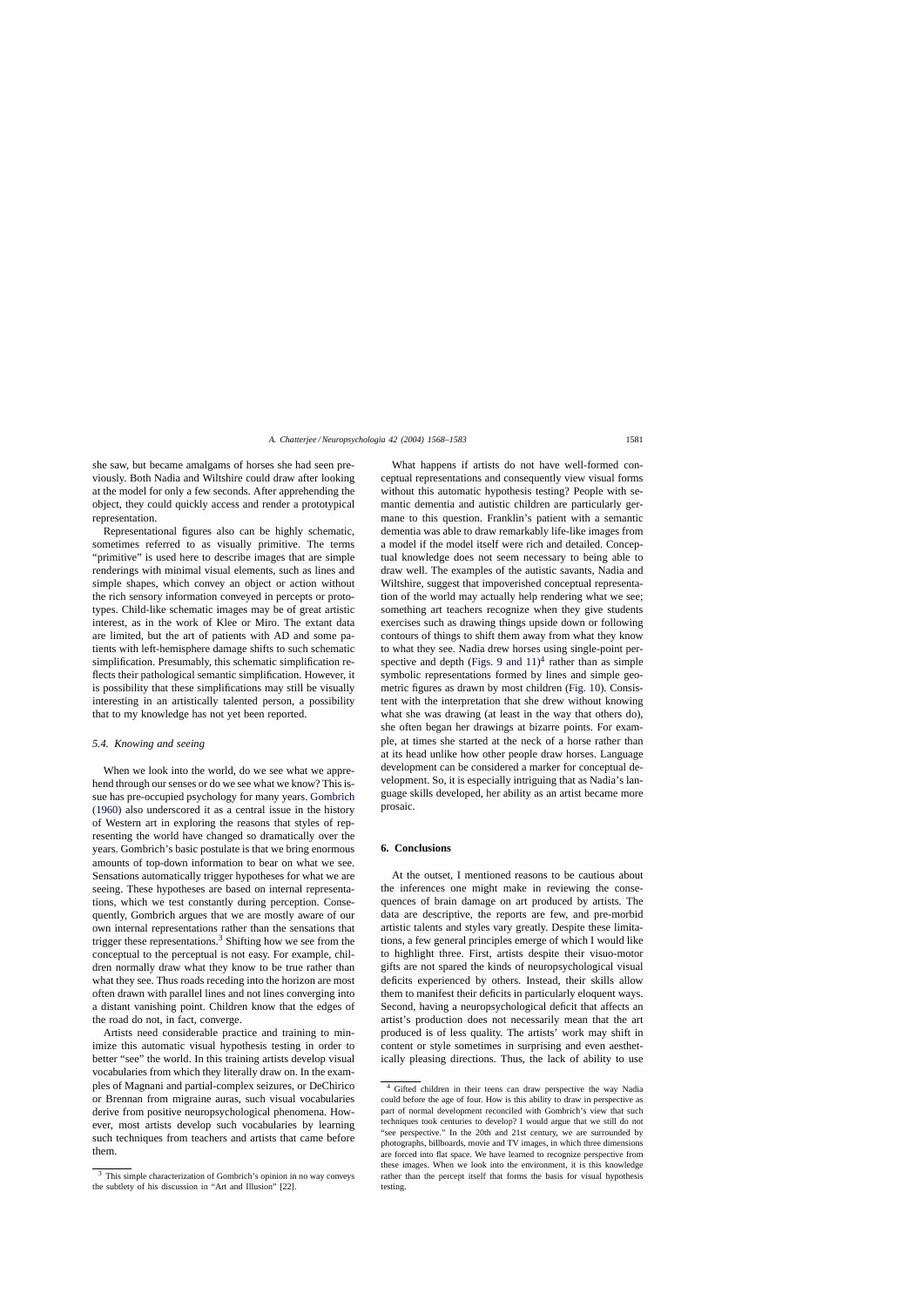she saw, but became amalgams of horses she had seen previously. Both Nadia and Wiltshire could draw after looking at the model for only a few seconds. After apprehending the object, they could quickly access and render a prototypical representation.

Representational figures also can be highly schematic, sometimes referred to as visually primitive. The terms "primitive" is used here to describe images that are simple renderings with minimal visual elements, such as lines and simple shapes, which convey an object or action without the rich sensory information conveyed in percepts or prototypes. Child-like schematic images may be of great artistic interest, as in the work of Klee or Miro. The extant data are limited, but the art of patients with AD and some patients with left-hemisphere damage shifts to such schematic simplification. Presumably, this schematic simplification reflects their pathological semantic simplification. However, it is possibility that these simplifications may still be visually interesting in an artistically talented person, a possibility that to my knowledge has not yet been reported.

### *5.4. Knowing and seeing*

When we look into the world, do we see what we apprehend through our senses or do we see what we know? This issue has pre-occupied psychology for many years. [Gombrich](#page-14-0) [\(1960\)](#page-14-0) also underscored it as a central issue in the history of Western art in exploring the reasons that styles of representing the world have changed so dramatically over the years. Gombrich's basic postulate is that we bring enormous amounts of top-down information to bear on what we see. Sensations automatically trigger hypotheses for what we are seeing. These hypotheses are based on internal representations, which we test constantly during perception. Consequently, Gombrich argues that we are mostly aware of our own internal representations rather than the sensations that trigger these representations. $3$  Shifting how we see from the conceptual to the perceptual is not easy. For example, children normally draw what they know to be true rather than what they see. Thus roads receding into the horizon are most often drawn with parallel lines and not lines converging into a distant vanishing point. Children know that the edges of the road do not, in fact, converge.

Artists need considerable practice and training to minimize this automatic visual hypothesis testing in order to better "see" the world. In this training artists develop visual vocabularies from which they literally draw on. In the examples of Magnani and partial-complex seizures, or DeChirico or Brennan from migraine auras, such visual vocabularies derive from positive neuropsychological phenomena. However, most artists develop such vocabularies by learning such techniques from teachers and artists that came before them.

What happens if artists do not have well-formed conceptual representations and consequently view visual forms without this automatic hypothesis testing? People with semantic dementia and autistic children are particularly germane to this question. Franklin's patient with a semantic dementia was able to draw remarkably life-like images from a model if the model itself were rich and detailed. Conceptual knowledge does not seem necessary to being able to draw well. The examples of the autistic savants, Nadia and Wiltshire, suggest that impoverished conceptual representation of the world may actually help rendering what we see; something art teachers recognize when they give students exercises such as drawing things upside down or following contours of things to shift them away from what they know to what they see. Nadia drew horses using single-point perspective and depth (Figs. 9 and  $11$ )<sup>4</sup> rather than as simple symbolic representations formed by lines and simple geometric figures as drawn by most children ([Fig. 10\).](#page-10-0) Consistent with the interpretation that she drew without knowing what she was drawing (at least in the way that others do), she often began her drawings at bizarre points. For example, at times she started at the neck of a horse rather than at its head unlike how other people draw horses. Language development can be considered a marker for conceptual development. So, it is especially intriguing that as Nadia's language skills developed, her ability as an artist became more prosaic.

# **6. Conclusions**

At the outset, I mentioned reasons to be cautious about the inferences one might make in reviewing the consequences of brain damage on art produced by artists. The data are descriptive, the reports are few, and pre-morbid artistic talents and styles vary greatly. Despite these limitations, a few general principles emerge of which I would like to highlight three. First, artists despite their visuo-motor gifts are not spared the kinds of neuropsychological visual deficits experienced by others. Instead, their skills allow them to manifest their deficits in particularly eloquent ways. Second, having a neuropsychological deficit that affects an artist's production does not necessarily mean that the art produced is of less quality. The artists' work may shift in content or style sometimes in surprising and even aesthetically pleasing directions. Thus, the lack of ability to use

<sup>&</sup>lt;sup>3</sup> This simple characterization of Gombrich's opinion in no way conveys the subtlety of his discussion in "Art and Illusion" [22].

<sup>4</sup> Gifted children in their teens can draw perspective the way Nadia could before the age of four. How is this ability to draw in perspective as part of normal development reconciled with Gombrich's view that such techniques took centuries to develop? I would argue that we still do not "see perspective." In the 20th and 21st century, we are surrounded by photographs, billboards, movie and TV images, in which three dimensions are forced into flat space. We have learned to recognize perspective from these images. When we look into the environment, it is this knowledge rather than the percept itself that forms the basis for visual hypothesis testing.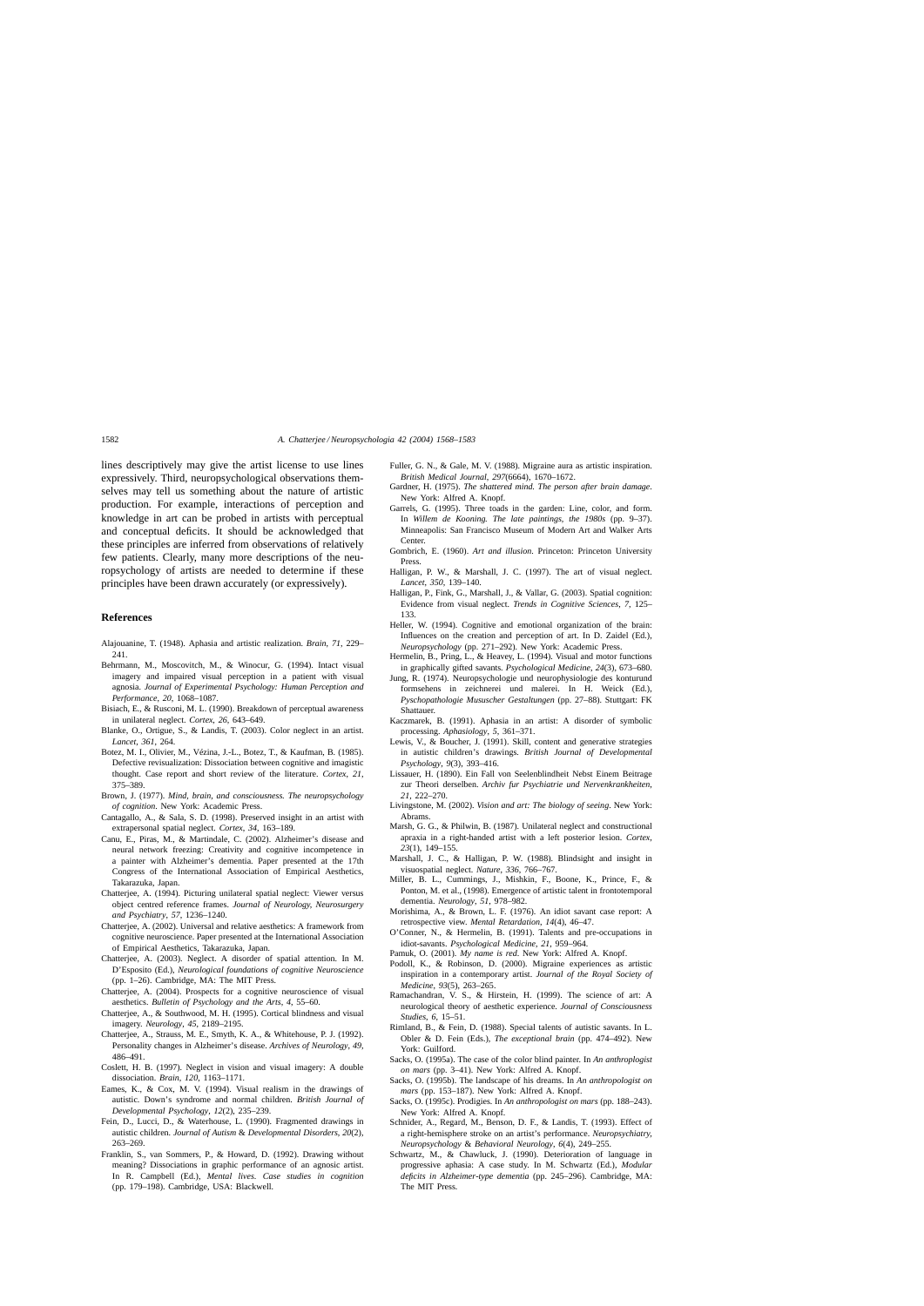<span id="page-14-0"></span>lines descriptively may give the artist license to use lines expressively. Third, neuropsychological observations themselves may tell us something about the nature of artistic production. For example, interactions of perception and knowledge in art can be probed in artists with perceptual and conceptual deficits. It should be acknowledged that these principles are inferred from observations of relatively few patients. Clearly, many more descriptions of the neuropsychology of artists are needed to determine if these principles have been drawn accurately (or expressively).

#### **References**

- Alajouanine, T. (1948). Aphasia and artistic realization. *Brain*, *71*, 229– 241.
- Behrmann, M., Moscovitch, M., & Winocur, G. (1994). Intact visual imagery and impaired visual perception in a patient with visual agnosia. *Journal of Experimental Psychology: Human Perception and Performance*, *20*, 1068–1087.
- Bisiach, E., & Rusconi, M. L. (1990). Breakdown of perceptual awareness in unilateral neglect. *Cortex*, *26*, 643–649.
- Blanke, O., Ortigue, S., & Landis, T. (2003). Color neglect in an artist. *Lancet*, *361*, 264.
- Botez, M. I., Olivier, M., Vézina, J.-L., Botez, T., & Kaufman, B. (1985). Defective revisualization: Dissociation between cognitive and imagistic thought. Case report and short review of the literature. *Cortex*, *21*, 375–389.
- Brown, J. (1977). *Mind, brain, and consciousness. The neuropsychology of cognition*. New York: Academic Press.
- Cantagallo, A., & Sala, S. D. (1998). Preserved insight in an artist with extrapersonal spatial neglect. *Cortex*, *34*, 163–189.
- Canu, E., Piras, M., & Martindale, C. (2002). Alzheimer's disease and neural network freezing: Creativity and cognitive incompetence in a painter with Alzheimer's dementia. Paper presented at the 17th Congress of the International Association of Empirical Aesthetics, Takarazuka, Japan.
- Chatterjee, A. (1994). Picturing unilateral spatial neglect: Viewer versus object centred reference frames. *Journal of Neurology, Neurosurgery and Psychiatry*, *57*, 1236–1240.
- Chatterjee, A. (2002). Universal and relative aesthetics: A framework from cognitive neuroscience. Paper presented at the International Association of Empirical Aesthetics, Takarazuka, Japan.
- Chatterjee, A. (2003). Neglect. A disorder of spatial attention. In M. D'Esposito (Ed.), *Neurological foundations of cognitive Neuroscience* (pp. 1–26). Cambridge, MA: The MIT Press.
- Chatterjee, A. (2004). Prospects for a cognitive neuroscience of visual aesthetics. *Bulletin of Psychology and the Arts*, *4*, 55–60.
- Chatterjee, A., & Southwood, M. H. (1995). Cortical blindness and visual imagery. *Neurology*, *45*, 2189–2195.
- Chatterjee, A., Strauss, M. E., Smyth, K. A., & Whitehouse, P. J. (1992). Personality changes in Alzheimer's disease. *Archives of Neurology*, *49*, 486–491.
- Coslett, H. B. (1997). Neglect in vision and visual imagery: A double dissociation. *Brain*, *120*, 1163–1171.
- Eames, K., & Cox, M. V. (1994). Visual realism in the drawings of autistic. Down's syndrome and normal children. *British Journal of Developmental Psychology*, *12*(2), 235–239.
- Fein, D., Lucci, D., & Waterhouse, L. (1990). Fragmented drawings in autistic children. *Journal of Autism* & *Developmental Disorders*, *20*(2), 263–269.
- Franklin, S., van Sommers, P., & Howard, D. (1992). Drawing without meaning? Dissociations in graphic performance of an agnosic artist. In R. Campbell (Ed.), *Mental lives. Case studies in cognition* (pp. 179–198). Cambridge, USA: Blackwell.
- Fuller, G. N., & Gale, M. V. (1988). Migraine aura as artistic inspiration. *British Medical Journal*, *297*(6664), 1670–1672.
- Gardner, H. (1975). *The shattered mind. The person after brain damage*. New York: Alfred A. Knopf.
- Garrels, G. (1995). Three toads in the garden: Line, color, and form. In *Willem de Kooning. The late paintings, the 1980s* (pp. 9–37). Minneapolis: San Francisco Museum of Modern Art and Walker Arts Center.
- Gombrich, E. (1960). *Art and illusion*. Princeton: Princeton University Press.
- Halligan, P. W., & Marshall, J. C. (1997). The art of visual neglect. *Lancet*, *350*, 139–140.
- Halligan, P., Fink, G., Marshall, J., & Vallar, G. (2003). Spatial cognition: Evidence from visual neglect. *Trends in Cognitive Sciences*, *7*, 125– 133.
- Heller, W. (1994). Cognitive and emotional organization of the brain: Influences on the creation and perception of art. In D. Zaidel (Ed.), *Neuropsychology* (pp. 271–292). New York: Academic Press.
- Hermelin, B., Pring, L., & Heavey, L. (1994). Visual and motor functions in graphically gifted savants. *Psychological Medicine*, *24*(3), 673–680.
- Jung, R. (1974). Neuropsychologie und neurophysiologie des konturund formsehens in zeichnerei und malerei. In H. Weick (Ed.), *Pyschopathologie Mususcher Gestaltungen* (pp. 27–88). Stuttgart: FK Shattauer.
- Kaczmarek, B. (1991). Aphasia in an artist: A disorder of symbolic processing. *Aphasiology*, *5*, 361–371.
- Lewis, V., & Boucher, J. (1991). Skill, content and generative strategies in autistic children's drawings. *British Journal of Developmental Psychology*, *9*(3), 393–416.
- Lissauer, H. (1890). Ein Fall von Seelenblindheit Nebst Einem Beitrage zur Theori derselben. *Archiv fur Psychiatrie und Nervenkrankheiten*, *21*, 222–270.
- Livingstone, M. (2002). *Vision and art: The biology of seeing*. New York: Abrams.
- Marsh, G. G., & Philwin, B. (1987). Unilateral neglect and constructional apraxia in a right-handed artist with a left posterior lesion. *Cortex*, *23*(1), 149–155.
- Marshall, J. C., & Halligan, P. W. (1988). Blindsight and insight in visuospatial neglect. *Nature*, *336*, 766–767.
- Miller, B. L., Cummings, J., Mishkin, F., Boone, K., Prince, F., & Ponton, M. et al., (1998). Emergence of artistic talent in frontotemporal dementia. *Neurology*, *51*, 978–982.
- Morishima, A., & Brown, L. F. (1976). An idiot savant case report: A retrospective view. *Mental Retardation*, *14*(4), 46–47.
- O'Conner, N., & Hermelin, B. (1991). Talents and pre-occupations in idiot-savants. *Psychological Medicine*, *21*, 959–964.
- Pamuk, O. (2001). *My name is red*. New York: Alfred A. Knopf.
- Podoll, K., & Robinson, D. (2000). Migraine experiences as artistic inspiration in a contemporary artist. *Journal of the Royal Society of Medicine*, *93*(5), 263–265.
- Ramachandran, V. S., & Hirstein, H. (1999). The science of art: A neurological theory of aesthetic experience. *Journal of Consciousness Studies*, *6*, 15–51.
- Rimland, B., & Fein, D. (1988). Special talents of autistic savants. In L. Obler & D. Fein (Eds.), *The exceptional brain* (pp. 474–492). New York: Guilford.
- Sacks, O. (1995a). The case of the color blind painter. In *An anthroplogist on mars* (pp. 3–41). New York: Alfred A. Knopf.
- Sacks, O. (1995b). The landscape of his dreams. In *An anthropologist on mars* (pp. 153–187). New York: Alfred A. Knopf.
- Sacks, O. (1995c). Prodigies. In *An anthropologist on mars* (pp. 188–243). New York: Alfred A. Knopf.
- Schnider, A., Regard, M., Benson, D. F., & Landis, T. (1993). Effect of a right-hemisphere stroke on an artist's performance. *Neuropsychiatry, Neuropsychology* & *Behavioral Neurology*, *6*(4), 249–255.
- Schwartz, M., & Chawluck, J. (1990). Deterioration of language in progressive aphasia: A case study. In M. Schwartz (Ed.), *Modular deficits in Alzheimer-type dementia* (pp. 245–296). Cambridge, MA: The MIT Press.